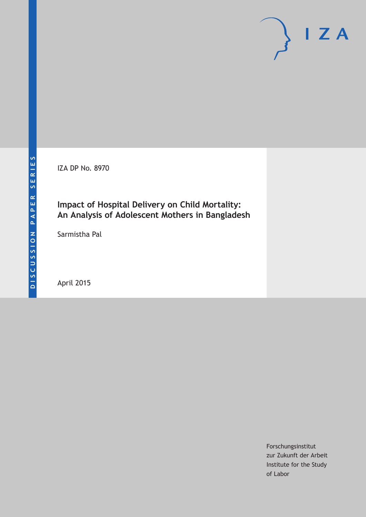IZA DP No. 8970

## **Impact of Hospital Delivery on Child Mortality: An Analysis of Adolescent Mothers in Bangladesh**

Sarmistha Pal

April 2015

Forschungsinstitut zur Zukunft der Arbeit Institute for the Study of Labor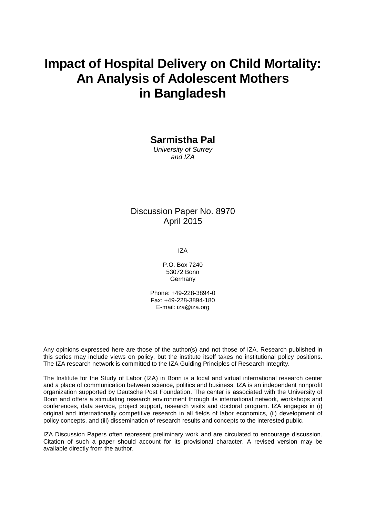# **Impact of Hospital Delivery on Child Mortality: An Analysis of Adolescent Mothers in Bangladesh**

### **Sarmistha Pal**

*University of Surrey and IZA*

### Discussion Paper No. 8970 April 2015

IZA

P.O. Box 7240 53072 Bonn **Germany** 

Phone: +49-228-3894-0 Fax: +49-228-3894-180 E-mail: iza@iza.org

Any opinions expressed here are those of the author(s) and not those of IZA. Research published in this series may include views on policy, but the institute itself takes no institutional policy positions. The IZA research network is committed to the IZA Guiding Principles of Research Integrity.

The Institute for the Study of Labor (IZA) in Bonn is a local and virtual international research center and a place of communication between science, politics and business. IZA is an independent nonprofit organization supported by Deutsche Post Foundation. The center is associated with the University of Bonn and offers a stimulating research environment through its international network, workshops and conferences, data service, project support, research visits and doctoral program. IZA engages in (i) original and internationally competitive research in all fields of labor economics, (ii) development of policy concepts, and (iii) dissemination of research results and concepts to the interested public.

IZA Discussion Papers often represent preliminary work and are circulated to encourage discussion. Citation of such a paper should account for its provisional character. A revised version may be available directly from the author.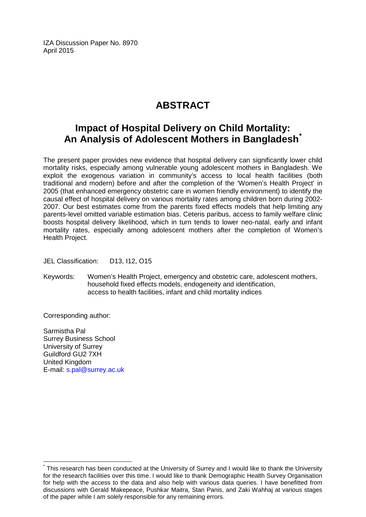IZA Discussion Paper No. 8970 April 2015

## **ABSTRACT**

## **Impact of Hospital Delivery on Child Mortality: An Analysis of Adolescent Mothers in Bangladesh[\\*](#page-2-0)**

The present paper provides new evidence that hospital delivery can significantly lower child mortality risks, especially among vulnerable young adolescent mothers in Bangladesh. We exploit the exogenous variation in community's access to local health facilities (both traditional and modern) before and after the completion of the 'Women's Health Project' in 2005 (that enhanced emergency obstetric care in women friendly environment) to identify the causal effect of hospital delivery on various mortality rates among children born during 2002- 2007. Our best estimates come from the parents fixed effects models that help limiting any parents-level omitted variable estimation bias. Ceteris paribus, access to family welfare clinic boosts hospital delivery likelihood, which in turn tends to lower neo-natal, early and infant mortality rates, especially among adolescent mothers after the completion of Women's Health Project.

JEL Classification: D13, I12, O15

Keywords: Women's Health Project, emergency and obstetric care, adolescent mothers, household fixed effects models, endogeneity and identification, access to health facilities, infant and child mortality indices

Corresponding author:

Sarmistha Pal Surrey Business School University of Surrey Guildford GU2 7XH United Kingdom E-mail: [s.pal@surrey.ac.uk](mailto:s.pal@surrey.ac.uk)

<span id="page-2-0"></span>This research has been conducted at the University of Surrey and I would like to thank the University for the research facilities over this time. I would like to thank Demographic Health Survey Organisation for help with the access to the data and also help with various data queries. I have benefitted from discussions with Gerald Makepeace, Pushkar Maitra, Stan Panis, and Zaki Wahhaj at various stages of the paper while I am solely responsible for any remaining errors.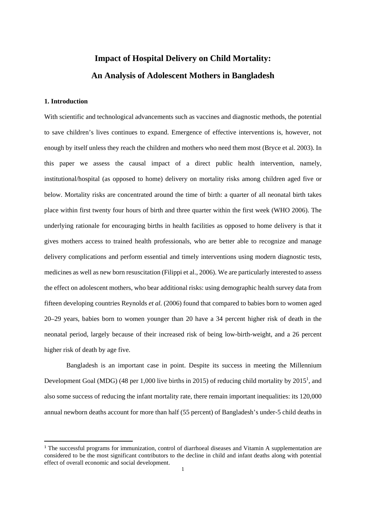## **Impact of Hospital Delivery on Child Mortality: An Analysis of Adolescent Mothers in Bangladesh**

#### **1. Introduction**

With scientific and technological advancements such as vaccines and diagnostic methods, the potential to save children's lives continues to expand. Emergence of effective interventions is, however, not enough by itself unless they reach the children and mothers who need them most (Bryce et al. 2003). In this paper we assess the causal impact of a direct public health intervention, namely, institutional/hospital (as opposed to home) delivery on mortality risks among children aged five or below. Mortality risks are concentrated around the time of birth: a quarter of all neonatal birth takes place within first twenty four hours of birth and three quarter within the first week (WHO 2006). The underlying rationale for encouraging births in health facilities as opposed to home delivery is that it gives mothers access to trained health professionals, who are better able to recognize and manage delivery complications and perform essential and timely interventions using modern diagnostic tests, medicines as well as new born resuscitation (Filippi et al., 2006). We are particularly interested to assess the effect on adolescent mothers, who bear additional risks: using demographic health survey data from fifteen developing countries Reynolds *et al.* (2006) found that compared to babies born to women aged 20–29 years, babies born to women younger than 20 have a 34 percent higher risk of death in the neonatal period, largely because of their increased risk of being low-birth-weight, and a 26 percent higher risk of death by age five.

Bangladesh is an important case in point. Despite its success in meeting the Millennium Development Goal (MDG) (48 per 1,000 live births in 2015) of reducing child mortality by  $2015<sup>1</sup>$ , and also some success of reducing the infant mortality rate, there remain important inequalities: its 120,000 annual newborn deaths account for more than half (55 percent) of Bangladesh's under-5 child deaths in

<sup>&</sup>lt;sup>1</sup> The successful programs for immunization, control of diarrhoeal diseases and Vitamin A supplementation are considered to be the most significant contributors to the decline in child and infant deaths along with potential effect of overall economic and social development.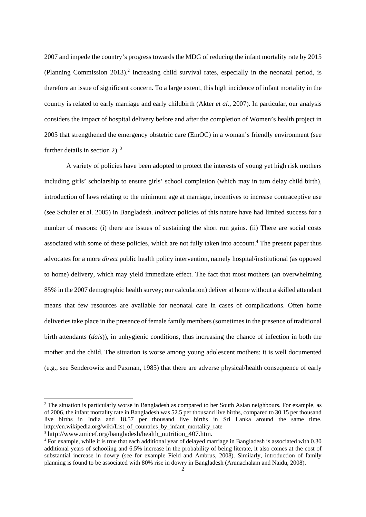2007 and impede the country's progress towards the MDG of reducing the infant mortality rate by 2015 (Planning Commission 2013).<sup>2</sup> Increasing child survival rates, especially in the neonatal period, is therefore an issue of significant concern. To a large extent, this high incidence of infant mortality in the country is related to early marriage and early childbirth (Akter *et al.,* 2007). In particular, our analysis considers the impact of hospital delivery before and after the completion of Women's health project in 2005 that strengthened the emergency obstetric care (EmOC) in a woman's friendly environment (see further details in section 2).<sup>3</sup>

A variety of policies have been adopted to protect the interests of young yet high risk mothers including girls' scholarship to ensure girls' school completion (which may in turn delay child birth), introduction of laws relating to the minimum age at marriage, incentives to increase contraceptive use (see Schuler et al. 2005) in Bangladesh. *Indirect* policies of this nature have had limited success for a number of reasons: (i) there are issues of sustaining the short run gains. (ii) There are social costs associated with some of these policies, which are not fully taken into account.<sup>4</sup> The present paper thus advocates for a more *direct* public health policy intervention, namely hospital/institutional (as opposed to home) delivery, which may yield immediate effect. The fact that most mothers (an overwhelming 85% in the 2007 demographic health survey; our calculation) deliver at home without a skilled attendant means that few resources are available for neonatal care in cases of complications. Often home deliveries take place in the presence of female family members (sometimes in the presence of traditional birth attendants (*dais*)), in unhygienic conditions, thus increasing the chance of infection in both the mother and the child. The situation is worse among young adolescent mothers: it is well documented (e.g., see Senderowitz and Paxman, 1985) that there are adverse physical/health consequence of early

<sup>&</sup>lt;sup>2</sup> The situation is particularly worse in Bangladesh as compared to her South Asian neighbours. For example, as of 2006, the infant mortality rate in Bangladesh was 52.5 per thousand live births, compared to 30.15 per thousand live births in India and 18.57 per thousand live births in Sri Lanka around the same time. http://en.wikipedia.org/wiki/List\_of\_countries\_by\_infant\_mortality\_rate

<sup>&</sup>lt;sup>3</sup> http://www.unicef.org/bangladesh/health\_nutrition\_407.htm.

<sup>4</sup> For example, while it is true that each additional year of delayed marriage in Bangladesh is associated with 0.30 additional years of schooling and 6.5% increase in the probability of being literate, it also comes at the cost of substantial increase in dowry (see for example Field and Ambrus, 2008). Similarly, introduction of family planning is found to be associated with 80% rise in dowry in Bangladesh (Arunachalam and Naidu, 2008).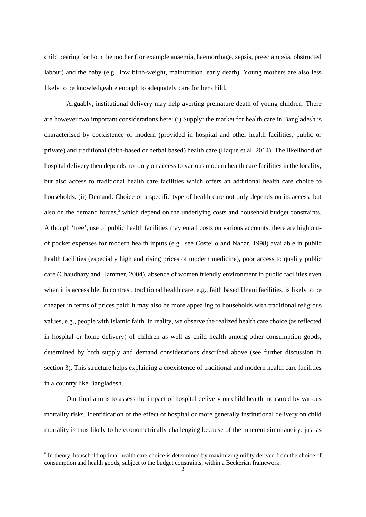child bearing for both the mother (for example anaemia, haemorrhage, sepsis, preeclampsia, obstructed labour) and the baby (e.g., low birth-weight, malnutrition, early death). Young mothers are also less likely to be knowledgeable enough to adequately care for her child.

Arguably, institutional delivery may help averting premature death of young children. There are however two important considerations here: (i) Supply: the market for health care in Bangladesh is characterised by coexistence of modern (provided in hospital and other health facilities, public or private) and traditional (faith-based or herbal based) health care (Haque et al. 2014). The likelihood of hospital delivery then depends not only on access to various modern health care facilities in the locality, but also access to traditional health care facilities which offers an additional health care choice to households. (ii) Demand: Choice of a specific type of health care not only depends on its access, but also on the demand forces,<sup>5</sup> which depend on the underlying costs and household budget constraints. Although 'free', use of public health facilities may entail costs on various accounts: there are high outof pocket expenses for modern health inputs (e.g., see Costello and Nahar, 1998) available in public health facilities (especially high and rising prices of modern medicine), poor access to quality public care (Chaudhary and Hammer, 2004), absence of women friendly environment in public facilities even when it is accessible. In contrast, traditional health care, e.g., faith based Unani facilities, is likely to be cheaper in terms of prices paid; it may also be more appealing to households with traditional religious values, e.g., people with Islamic faith. In reality, we observe the realized health care choice (as reflected in hospital or home delivery) of children as well as child health among other consumption goods, determined by both supply and demand considerations described above (see further discussion in section 3). This structure helps explaining a coexistence of traditional and modern health care facilities in a country like Bangladesh.

Our final aim is to assess the impact of hospital delivery on child health measured by various mortality risks. Identification of the effect of hospital or more generally institutional delivery on child mortality is thus likely to be econometrically challenging because of the inherent simultaneity: just as

<sup>&</sup>lt;sup>5</sup> In theory, household optimal health care choice is determined by maximizing utility derived from the choice of consumption and health goods, subject to the budget constraints, within a Beckerian framework.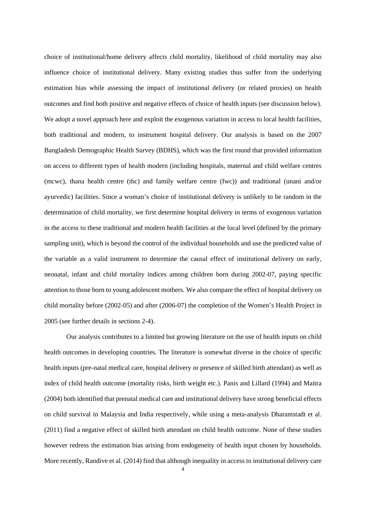choice of institutional/home delivery affects child mortality, likelihood of child mortality may also influence choice of institutional delivery. Many existing studies thus suffer from the underlying estimation bias while assessing the impact of institutional delivery (or related proxies) on health outcomes and find both positive and negative effects of choice of health inputs (see discussion below). We adopt a novel approach here and exploit the exogenous variation in access to local health facilities, both traditional and modern, to instrument hospital delivery. Our analysis is based on the 2007 Bangladesh Demographic Health Survey (BDHS), which was the first round that provided information on access to different types of health modern (including hospitals, maternal and child welfare centres (mcwc), thana health centre (thc) and family welfare centre (fwc)) and traditional (unani and/or ayurvedic) facilities. Since a woman's choice of institutional delivery is unlikely to be random in the determination of child mortality, we first determine hospital delivery in terms of exogenous variation in the access to these traditional and modern health facilities at the local level (defined by the primary sampling unit), which is beyond the control of the individual households and use the predicted value of the variable as a valid instrument to determine the causal effect of institutional delivery on early, neonatal, infant and child mortality indices among children born during 2002-07, paying specific attention to those born to young adolescent mothers. We also compare the effect of hospital delivery on child mortality before (2002-05) and after (2006-07) the completion of the Women's Health Project in 2005 (see further details in sections 2-4).

Our analysis contributes to a limited but growing literature on the use of health inputs on child health outcomes in developing countries. The literature is somewhat diverse in the choice of specific health inputs (pre-natal medical care, hospital delivery or presence of skilled birth attendant) as well as index of child health outcome (mortality risks, birth weight etc.). Panis and Lillard (1994) and Maitra (2004) both identified that prenatal medical care and institutional delivery have strong beneficial effects on child survival in Malaysia and India respectively, while using a meta-analysis Dharamstadt et al. (2011) find a negative effect of skilled birth attendant on child health outcome. None of these studies however redress the estimation bias arising from endogeneity of health input chosen by households. More recently, Randive et al. (2014) find that although inequality in access to institutional delivery care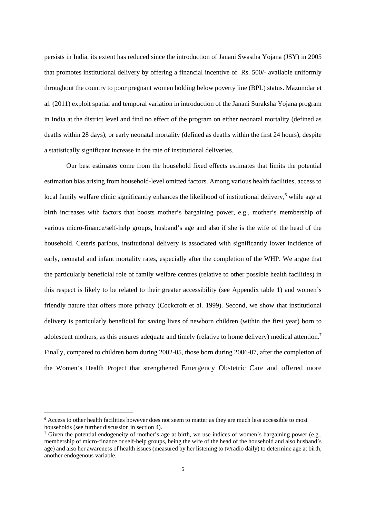persists in India, its extent has reduced since the introduction of Janani Swastha Yojana (JSY) in 2005 that promotes institutional delivery by offering a financial incentive of Rs. 500/- available uniformly throughout the country to poor pregnant women holding below poverty line (BPL) status. Mazumdar et al. (2011) exploit spatial and temporal variation in introduction of the Janani Suraksha Yojana program in India at the district level and find no effect of the program on either neonatal mortality (defined as deaths within 28 days), or early neonatal mortality (defined as deaths within the first 24 hours), despite a statistically significant increase in the rate of institutional deliveries.

Our best estimates come from the household fixed effects estimates that limits the potential estimation bias arising from household-level omitted factors. Among various health facilities, access to local family welfare clinic significantly enhances the likelihood of institutional delivery,<sup>6</sup> while age at birth increases with factors that boosts mother's bargaining power, e.g., mother's membership of various micro-finance/self-help groups, husband's age and also if she is the wife of the head of the household. Ceteris paribus, institutional delivery is associated with significantly lower incidence of early, neonatal and infant mortality rates, especially after the completion of the WHP. We argue that the particularly beneficial role of family welfare centres (relative to other possible health facilities) in this respect is likely to be related to their greater accessibility (see Appendix table 1) and women's friendly nature that offers more privacy (Cockcroft et al. 1999). Second, we show that institutional delivery is particularly beneficial for saving lives of newborn children (within the first year) born to adolescent mothers, as this ensures adequate and timely (relative to home delivery) medical attention.<sup>7</sup> Finally, compared to children born during 2002-05, those born during 2006-07, after the completion of the Women's Health Project that strengthened Emergency Obstetric Care and offered more

<sup>&</sup>lt;sup>6</sup> Access to other health facilities however does not seem to matter as they are much less accessible to most households (see further discussion in section 4).

<sup>&</sup>lt;sup>7</sup> Given the potential endogeneity of mother's age at birth, we use indices of women's bargaining power (e.g., membership of micro-finance or self-help groups, being the wife of the head of the household and also husband's age) and also her awareness of health issues (measured by her listening to tv/radio daily) to determine age at birth, another endogenous variable.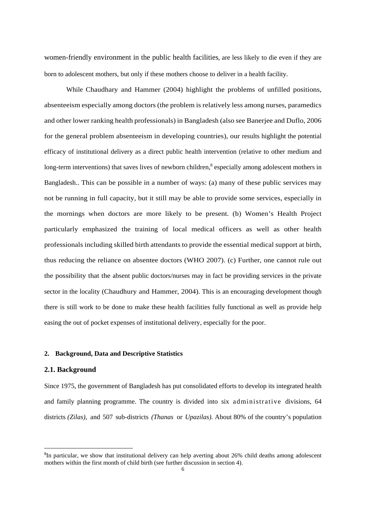women-friendly environment in the public health facilities, are less likely to die even if they are born to adolescent mothers, but only if these mothers choose to deliver in a health facility.

While Chaudhary and Hammer (2004) highlight the problems of unfilled positions, absenteeism especially among doctors (the problem is relatively less among nurses, paramedics and other lower ranking health professionals) in Bangladesh (also see Banerjee and Duflo, 2006 for the general problem absenteeism in developing countries), our results highlight the potential efficacy of institutional delivery as a direct public health intervention (relative to other medium and long-term interventions) that saves lives of newborn children,<sup>8</sup> especially among adolescent mothers in Bangladesh.. This can be possible in a number of ways: (a) many of these public services may not be running in full capacity, but it still may be able to provide some services, especially in the mornings when doctors are more likely to be present. (b) Women's Health Project particularly emphasized the training of local medical officers as well as other health professionals including skilled birth attendants to provide the essential medical support at birth, thus reducing the reliance on absentee doctors (WHO 2007). (c) Further, one cannot rule out the possibility that the absent public doctors/nurses may in fact be providing services in the private sector in the locality (Chaudhury and Hammer, 2004). This is an encouraging development though there is still work to be done to make these health facilities fully functional as well as provide help easing the out of pocket expenses of institutional delivery, especially for the poor.

#### **2. Background, Data and Descriptive Statistics**

#### **2.1. Background**

Since 1975, the government of Bangladesh has put consolidated efforts to develop its integrated health and family planning programme. The country is divided into six administrative divisions, 64 districts *(Zilas),* and 507 sub-districts *(Thanas* or *Upazilas).* About 80% of the country's population

<sup>&</sup>lt;sup>8</sup>In particular, we show that institutional delivery can help averting about 26% child deaths among adolescent mothers within the first month of child birth (see further discussion in section 4).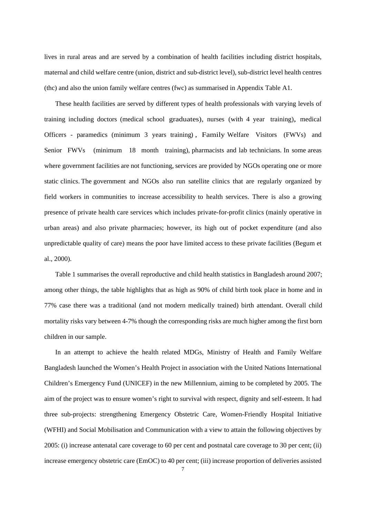lives in rural areas and are served by a combination of health facilities including district hospitals, maternal and child welfare centre (union, district and sub-district level), sub-district level health centres (thc) and also the union family welfare centres (fwc) as summarised in Appendix Table A1.

These health facilities are served by different types of health professionals with varying levels of training including doctors (medical school graduates), nurses (with 4 year training), medical Officers - paramedics (minimum 3 years training) , Family Welfare Visitors (FWVs) and Senior FWVs (minimum 18 month training), pharmacists and lab technicians. In some areas where government facilities are not functioning, services are provided by NGOs operating one or more static clinics. The government and NGOs also run satellite clinics that are regularly organized by field workers in communities to increase accessibility to health services. There is also a growing presence of private health care services which includes private-for-profit clinics (mainly operative in urban areas) and also private pharmacies; however, its high out of pocket expenditure (and also unpredictable quality of care) means the poor have limited access to these private facilities (Begum et al., 2000).

 Table 1 summarises the overall reproductive and child health statistics in Bangladesh around 2007; among other things, the table highlights that as high as 90% of child birth took place in home and in 77% case there was a traditional (and not modern medically trained) birth attendant. Overall child mortality risks vary between 4-7% though the corresponding risks are much higher among the first born children in our sample.

In an attempt to achieve the health related MDGs, Ministry of Health and Family Welfare Bangladesh launched the Women's Health Project in association with the United Nations International Children's Emergency Fund (UNICEF) in the new Millennium, aiming to be completed by 2005. The aim of the project was to ensure women's right to survival with respect, dignity and self-esteem. It had three sub-projects: strengthening Emergency Obstetric Care, Women-Friendly Hospital Initiative (WFHI) and Social Mobilisation and Communication with a view to attain the following objectives by 2005: (i) increase antenatal care coverage to 60 per cent and postnatal care coverage to 30 per cent; (ii) increase emergency obstetric care (EmOC) to 40 per cent; (iii) increase proportion of deliveries assisted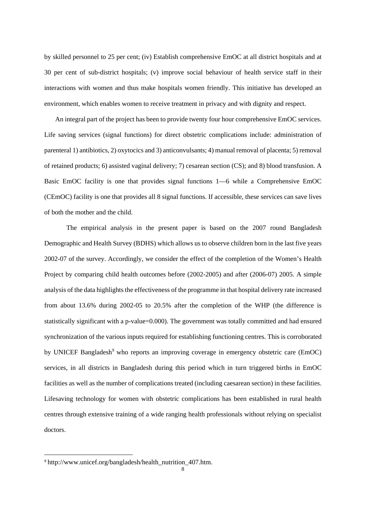by skilled personnel to 25 per cent; (iv) Establish comprehensive EmOC at all district hospitals and at 30 per cent of sub-district hospitals; (v) improve social behaviour of health service staff in their interactions with women and thus make hospitals women friendly. This initiative has developed an environment, which enables women to receive treatment in privacy and with dignity and respect.

An integral part of the project has been to provide twenty four hour comprehensive EmOC services. Life saving services (signal functions) for direct obstetric complications include: administration of parenteral 1) antibiotics, 2) oxytocics and 3) anticonvulsants; 4) manual removal of placenta; 5) removal of retained products; 6) assisted vaginal delivery; 7) cesarean section (CS); and 8) blood transfusion. A Basic EmOC facility is one that provides signal functions 1—6 while a Comprehensive EmOC (CEmOC) facility is one that provides all 8 signal functions. If accessible, these services can save lives of both the mother and the child.

The empirical analysis in the present paper is based on the 2007 round Bangladesh Demographic and Health Survey (BDHS) which allows us to observe children born in the last five years 2002-07 of the survey. Accordingly, we consider the effect of the completion of the Women's Health Project by comparing child health outcomes before (2002-2005) and after (2006-07) 2005. A simple analysis of the data highlights the effectiveness of the programme in that hospital delivery rate increased from about 13.6% during 2002-05 to 20.5% after the completion of the WHP (the difference is statistically significant with a p-value=0.000). The government was totally committed and had ensured synchronization of the various inputs required for establishing functioning centres. This is corroborated by UNICEF Bangladesh<sup>9</sup> who reports an improving coverage in emergency obstetric care (EmOC) services, in all districts in Bangladesh during this period which in turn triggered births in EmOC facilities as well as the number of complications treated (including caesarean section) in these facilities. Lifesaving technology for women with obstetric complications has been established in rural health centres through extensive training of a wide ranging health professionals without relying on specialist doctors.

<sup>9</sup> http://www.unicef.org/bangladesh/health\_nutrition\_407.htm.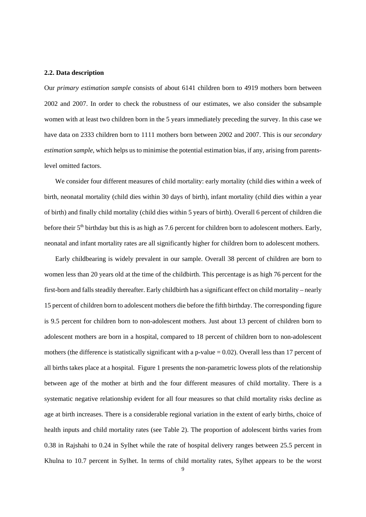#### **2.2. Data description**

Our *primary estimation sample* consists of about 6141 children born to 4919 mothers born between 2002 and 2007. In order to check the robustness of our estimates, we also consider the subsample women with at least two children born in the 5 years immediately preceding the survey. In this case we have data on 2333 children born to 1111 mothers born between 2002 and 2007. This is our *secondary estimation sample*, which helps us to minimise the potential estimation bias, if any, arising from parentslevel omitted factors.

We consider four different measures of child mortality: early mortality (child dies within a week of birth, neonatal mortality (child dies within 30 days of birth), infant mortality (child dies within a year of birth) and finally child mortality (child dies within 5 years of birth). Overall 6 percent of children die before their 5<sup>th</sup> birthday but this is as high as 7.6 percent for children born to adolescent mothers. Early, neonatal and infant mortality rates are all significantly higher for children born to adolescent mothers.

Early childbearing is widely prevalent in our sample. Overall 38 percent of children are born to women less than 20 years old at the time of the childbirth. This percentage is as high 76 percent for the first-born and falls steadily thereafter. Early childbirth has a significant effect on child mortality – nearly 15 percent of children born to adolescent mothers die before the fifth birthday. The corresponding figure is 9.5 percent for children born to non-adolescent mothers. Just about 13 percent of children born to adolescent mothers are born in a hospital, compared to 18 percent of children born to non-adolescent mothers (the difference is statistically significant with a p-value = 0.02). Overall less than 17 percent of all births takes place at a hospital. Figure 1 presents the non-parametric lowess plots of the relationship between age of the mother at birth and the four different measures of child mortality. There is a systematic negative relationship evident for all four measures so that child mortality risks decline as age at birth increases. There is a considerable regional variation in the extent of early births, choice of health inputs and child mortality rates (see Table 2). The proportion of adolescent births varies from 0.38 in Rajshahi to 0.24 in Sylhet while the rate of hospital delivery ranges between 25.5 percent in Khulna to 10.7 percent in Sylhet. In terms of child mortality rates, Sylhet appears to be the worst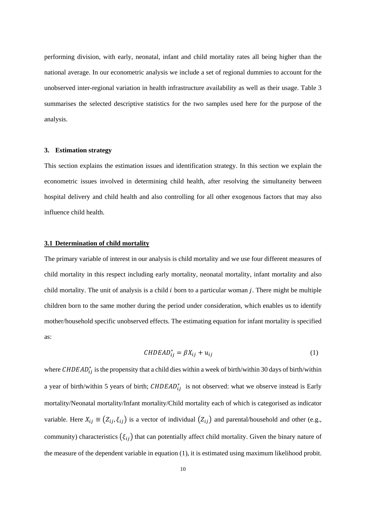performing division, with early, neonatal, infant and child mortality rates all being higher than the national average. In our econometric analysis we include a set of regional dummies to account for the unobserved inter-regional variation in health infrastructure availability as well as their usage. Table 3 summarises the selected descriptive statistics for the two samples used here for the purpose of the analysis.

#### **3. Estimation strategy**

This section explains the estimation issues and identification strategy. In this section we explain the econometric issues involved in determining child health, after resolving the simultaneity between hospital delivery and child health and also controlling for all other exogenous factors that may also influence child health.

#### **3.1 Determination of child mortality**

The primary variable of interest in our analysis is child mortality and we use four different measures of child mortality in this respect including early mortality, neonatal mortality, infant mortality and also child mortality. The unit of analysis is a child  $i$  born to a particular woman  $j$ . There might be multiple children born to the same mother during the period under consideration, which enables us to identify mother/household specific unobserved effects. The estimating equation for infant mortality is specified as:

$$
CHDEAD_{ij}^* = \beta X_{ij} + u_{ij}
$$
 (1)

where  $\textit{CHDEAD}_{ij}^*$  is the propensity that a child dies within a week of birth/within 30 days of birth/within a year of birth/within 5 years of birth;  $CHDEAD_{ij}^*$  is not observed: what we observe instead is Early mortality/Neonatal mortality/Infant mortality/Child mortality each of which is categorised as indicator variable. Here  $X_{ij} \equiv (Z_{ij}, \xi_{ij})$  is a vector of individual  $(Z_{ij})$  and parental/household and other (e.g., community) characteristics  $(\xi_{ij})$  that can potentially affect child mortality. Given the binary nature of the measure of the dependent variable in equation (1), it is estimated using maximum likelihood probit.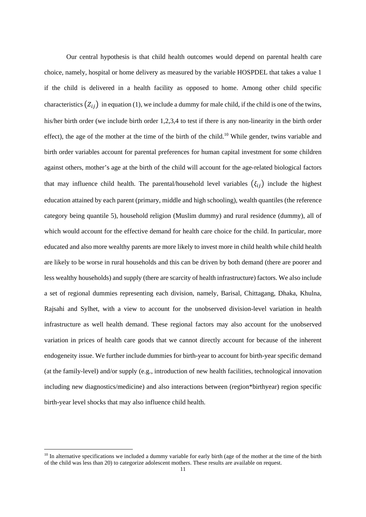Our central hypothesis is that child health outcomes would depend on parental health care choice, namely, hospital or home delivery as measured by the variable HOSPDEL that takes a value 1 if the child is delivered in a health facility as opposed to home. Among other child specific characteristics  $(Z_{ij})$  in equation (1), we include a dummy for male child, if the child is one of the twins, his/her birth order (we include birth order 1,2,3,4 to test if there is any non-linearity in the birth order effect), the age of the mother at the time of the birth of the child.<sup>10</sup> While gender, twins variable and birth order variables account for parental preferences for human capital investment for some children against others, mother's age at the birth of the child will account for the age-related biological factors that may influence child health. The parental/household level variables  $(\xi_{ij})$  include the highest education attained by each parent (primary, middle and high schooling), wealth quantiles (the reference category being quantile 5), household religion (Muslim dummy) and rural residence (dummy), all of which would account for the effective demand for health care choice for the child. In particular, more educated and also more wealthy parents are more likely to invest more in child health while child health are likely to be worse in rural households and this can be driven by both demand (there are poorer and less wealthy households) and supply (there are scarcity of health infrastructure) factors. We also include a set of regional dummies representing each division, namely, Barisal, Chittagang, Dhaka, Khulna, Rajsahi and Sylhet, with a view to account for the unobserved division-level variation in health infrastructure as well health demand. These regional factors may also account for the unobserved variation in prices of health care goods that we cannot directly account for because of the inherent endogeneity issue. We further include dummies for birth-year to account for birth-year specific demand (at the family-level) and/or supply (e.g., introduction of new health facilities, technological innovation including new diagnostics/medicine) and also interactions between (region\*birthyear) region specific birth-year level shocks that may also influence child health.

 $10$  In alternative specifications we included a dummy variable for early birth (age of the mother at the time of the birth of the child was less than 20) to categorize adolescent mothers. These results are available on request.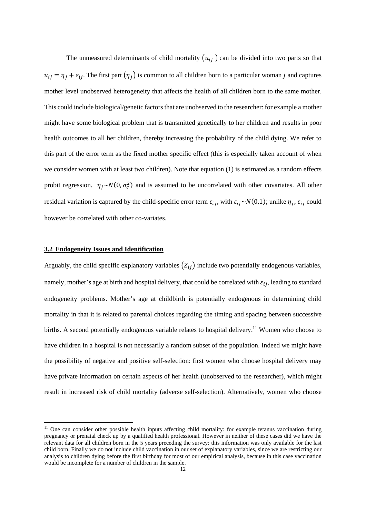The unmeasured determinants of child mortality  $(u_{ij})$  can be divided into two parts so that  $u_{ij} = \eta_j + \varepsilon_{ij}$ . The first part  $(\eta_j)$  is common to all children born to a particular woman j and captures mother level unobserved heterogeneity that affects the health of all children born to the same mother. This could include biological/genetic factors that are unobserved to the researcher: for example a mother might have some biological problem that is transmitted genetically to her children and results in poor health outcomes to all her children, thereby increasing the probability of the child dying. We refer to this part of the error term as the fixed mother specific effect (this is especially taken account of when we consider women with at least two children). Note that equation (1) is estimated as a random effects probit regression.  $\eta_j \sim N(0, \sigma_c^2)$  and is assumed to be uncorrelated with other covariates. All other residual variation is captured by the child-specific error term  $\varepsilon_{ij}$ , with  $\varepsilon_{ij} \sim N(0,1)$ ; unlike  $\eta_i$ ,  $\varepsilon_{ij}$  could however be correlated with other co-variates.

#### **3.2 Endogeneity Issues and Identification**

Arguably, the child specific explanatory variables  $(Z_{ij})$  include two potentially endogenous variables, namely, mother's age at birth and hospital delivery, that could be correlated with  $\varepsilon_{ij}$ , leading to standard endogeneity problems. Mother's age at childbirth is potentially endogenous in determining child mortality in that it is related to parental choices regarding the timing and spacing between successive births. A second potentially endogenous variable relates to hospital delivery.<sup>11</sup> Women who choose to have children in a hospital is not necessarily a random subset of the population. Indeed we might have the possibility of negative and positive self-selection: first women who choose hospital delivery may have private information on certain aspects of her health (unobserved to the researcher), which might result in increased risk of child mortality (adverse self-selection). Alternatively, women who choose

<sup>&</sup>lt;sup>11</sup> One can consider other possible health inputs affecting child mortality: for example tetanus vaccination during pregnancy or prenatal check up by a qualified health professional. However in neither of these cases did we have the relevant data for all children born in the 5 years preceding the survey: this information was only available for the last child born. Finally we do not include child vaccination in our set of explanatory variables, since we are restricting our analysis to children dying before the first birthday for most of our empirical analysis, because in this case vaccination would be incomplete for a number of children in the sample.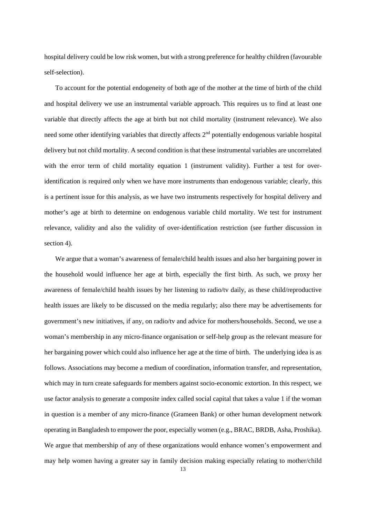hospital delivery could be low risk women, but with a strong preference for healthy children (favourable self-selection).

 To account for the potential endogeneity of both age of the mother at the time of birth of the child and hospital delivery we use an instrumental variable approach. This requires us to find at least one variable that directly affects the age at birth but not child mortality (instrument relevance). We also need some other identifying variables that directly affects 2<sup>nd</sup> potentially endogenous variable hospital delivery but not child mortality. A second condition is that these instrumental variables are uncorrelated with the error term of child mortality equation 1 (instrument validity). Further a test for overidentification is required only when we have more instruments than endogenous variable; clearly, this is a pertinent issue for this analysis, as we have two instruments respectively for hospital delivery and mother's age at birth to determine on endogenous variable child mortality. We test for instrument relevance, validity and also the validity of over-identification restriction (see further discussion in section 4).

We argue that a woman's awareness of female/child health issues and also her bargaining power in the household would influence her age at birth, especially the first birth. As such, we proxy her awareness of female/child health issues by her listening to radio/tv daily, as these child/reproductive health issues are likely to be discussed on the media regularly; also there may be advertisements for government's new initiatives, if any, on radio/tv and advice for mothers/households. Second, we use a woman's membership in any micro-finance organisation or self-help group as the relevant measure for her bargaining power which could also influence her age at the time of birth. The underlying idea is as follows. Associations may become a medium of coordination, information transfer, and representation, which may in turn create safeguards for members against socio-economic extortion. In this respect, we use factor analysis to generate a composite index called social capital that takes a value 1 if the woman in question is a member of any micro-finance (Grameen Bank) or other human development network operating in Bangladesh to empower the poor, especially women (e.g., BRAC, BRDB, Asha, Proshika). We argue that membership of any of these organizations would enhance women's empowerment and may help women having a greater say in family decision making especially relating to mother/child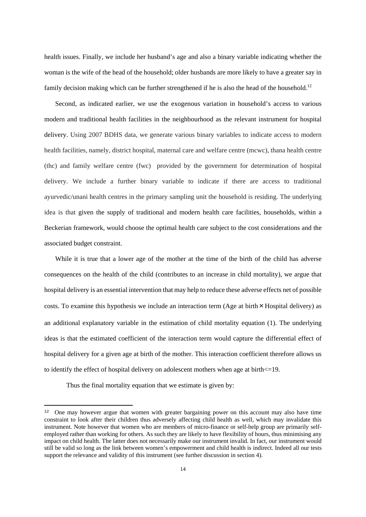health issues. Finally, we include her husband's age and also a binary variable indicating whether the woman is the wife of the head of the household; older husbands are more likely to have a greater say in family decision making which can be further strengthened if he is also the head of the household.<sup>12</sup>

 Second, as indicated earlier, we use the exogenous variation in household's access to various modern and traditional health facilities in the neighbourhood as the relevant instrument for hospital delivery. Using 2007 BDHS data, we generate various binary variables to indicate access to modern health facilities, namely, district hospital, maternal care and welfare centre (mcwc), thana health centre (thc) and family welfare centre (fwc) provided by the government for determination of hospital delivery. We include a further binary variable to indicate if there are access to traditional ayurvedic/unani health centres in the primary sampling unit the household is residing. The underlying idea is that given the supply of traditional and modern health care facilities, households, within a Beckerian framework, would choose the optimal health care subject to the cost considerations and the associated budget constraint.

 While it is true that a lower age of the mother at the time of the birth of the child has adverse consequences on the health of the child (contributes to an increase in child mortality), we argue that hospital delivery is an essential intervention that may help to reduce these adverse effects net of possible costs. To examine this hypothesis we include an interaction term (Age at birth  $\times$  Hospital delivery) as an additional explanatory variable in the estimation of child mortality equation (1). The underlying ideas is that the estimated coefficient of the interaction term would capture the differential effect of hospital delivery for a given age at birth of the mother. This interaction coefficient therefore allows us to identify the effect of hospital delivery on adolescent mothers when age at birth<=19.

Thus the final mortality equation that we estimate is given by:

<sup>&</sup>lt;sup>12</sup> One may however argue that women with greater bargaining power on this account may also have time constraint to look after their children thus adversely affecting child health as well, which may invalidate this instrument. Note however that women who are members of micro-finance or self-help group are primarily selfemployed rather than working for others. As such they are likely to have flexibility of hours, thus minimising any impact on child health. The latter does not necessarily make our instrument invalid. In fact, our instrument would still be valid so long as the link between women's empowerment and child health is indirect. Indeed all our tests support the relevance and validity of this instrument (see further discussion in section 4).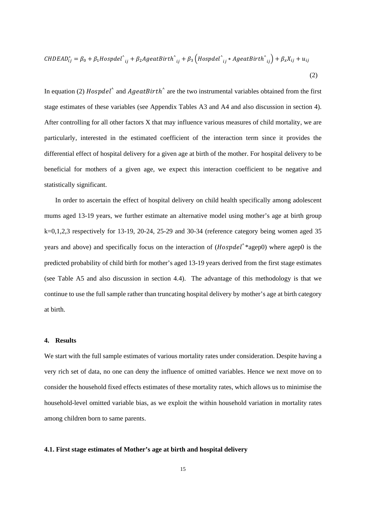$$
CHDEAD_{ij}^* = \beta_0 + \beta_1 H \text{ospdel}_{ij}^* + \beta_2 A \text{geatBirth}_{ij}^* + \beta_3 \left( H \text{ospdel}_{ij}^* * A \text{geatBirth}_{ij}^* \right) + \beta_x X_{ij} + u_{ij}
$$
\n
$$
\tag{2}
$$

In equation (2)  $Hospdel^{\wedge}$  and  $AgeatBirth^{\wedge}$  are the two instrumental variables obtained from the first stage estimates of these variables (see Appendix Tables A3 and A4 and also discussion in section 4). After controlling for all other factors X that may influence various measures of child mortality, we are particularly, interested in the estimated coefficient of the interaction term since it provides the differential effect of hospital delivery for a given age at birth of the mother. For hospital delivery to be beneficial for mothers of a given age, we expect this interaction coefficient to be negative and statistically significant.

In order to ascertain the effect of hospital delivery on child health specifically among adolescent mums aged 13-19 years, we further estimate an alternative model using mother's age at birth group k=0,1,2,3 respectively for 13-19, 20-24, 25-29 and 30-34 (reference category being women aged 35 years and above) and specifically focus on the interaction of  $(Hospdel^**agep0)$  where agep0 is the predicted probability of child birth for mother's aged 13-19 years derived from the first stage estimates (see Table A5 and also discussion in section 4.4). The advantage of this methodology is that we continue to use the full sample rather than truncating hospital delivery by mother's age at birth category at birth.

#### **4. Results**

We start with the full sample estimates of various mortality rates under consideration. Despite having a very rich set of data, no one can deny the influence of omitted variables. Hence we next move on to consider the household fixed effects estimates of these mortality rates, which allows us to minimise the household-level omitted variable bias, as we exploit the within household variation in mortality rates among children born to same parents.

#### **4.1. First stage estimates of Mother's age at birth and hospital delivery**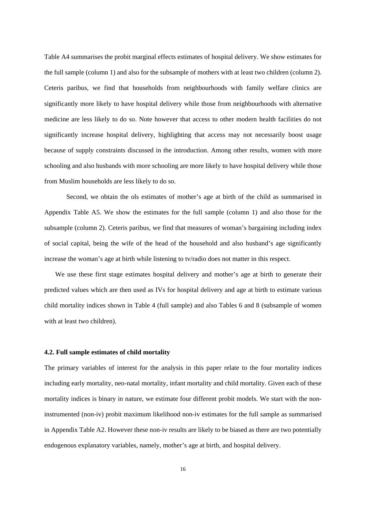Table A4 summarises the probit marginal effects estimates of hospital delivery. We show estimates for the full sample (column 1) and also for the subsample of mothers with at least two children (column 2). Ceteris paribus, we find that households from neighbourhoods with family welfare clinics are significantly more likely to have hospital delivery while those from neighbourhoods with alternative medicine are less likely to do so. Note however that access to other modern health facilities do not significantly increase hospital delivery, highlighting that access may not necessarily boost usage because of supply constraints discussed in the introduction. Among other results, women with more schooling and also husbands with more schooling are more likely to have hospital delivery while those from Muslim households are less likely to do so.

Second, we obtain the ols estimates of mother's age at birth of the child as summarised in Appendix Table A5. We show the estimates for the full sample (column 1) and also those for the subsample (column 2). Ceteris paribus, we find that measures of woman's bargaining including index of social capital, being the wife of the head of the household and also husband's age significantly increase the woman's age at birth while listening to tv/radio does not matter in this respect.

We use these first stage estimates hospital delivery and mother's age at birth to generate their predicted values which are then used as IVs for hospital delivery and age at birth to estimate various child mortality indices shown in Table 4 (full sample) and also Tables 6 and 8 (subsample of women with at least two children).

#### **4.2. Full sample estimates of child mortality**

The primary variables of interest for the analysis in this paper relate to the four mortality indices including early mortality, neo-natal mortality, infant mortality and child mortality. Given each of these mortality indices is binary in nature, we estimate four different probit models. We start with the noninstrumented (non-iv) probit maximum likelihood non-iv estimates for the full sample as summarised in Appendix Table A2. However these non-iv results are likely to be biased as there are two potentially endogenous explanatory variables, namely, mother's age at birth, and hospital delivery.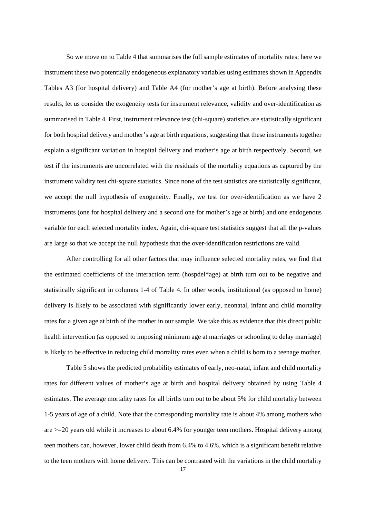So we move on to Table 4 that summarises the full sample estimates of mortality rates; here we instrument these two potentially endogeneous explanatory variables using estimates shown in Appendix Tables A3 (for hospital delivery) and Table A4 (for mother's age at birth). Before analysing these results, let us consider the exogeneity tests for instrument relevance, validity and over-identification as summarised in Table 4. First, instrument relevance test (chi-square) statistics are statistically significant for both hospital delivery and mother's age at birth equations, suggesting that these instruments together explain a significant variation in hospital delivery and mother's age at birth respectively. Second, we test if the instruments are uncorrelated with the residuals of the mortality equations as captured by the instrument validity test chi-square statistics. Since none of the test statistics are statistically significant, we accept the null hypothesis of exogeneity. Finally, we test for over-identification as we have 2 instruments (one for hospital delivery and a second one for mother's age at birth) and one endogenous variable for each selected mortality index. Again, chi-square test statistics suggest that all the p-values are large so that we accept the null hypothesis that the over-identification restrictions are valid.

After controlling for all other factors that may influence selected mortality rates, we find that the estimated coefficients of the interaction term (hospdel\*age) at birth turn out to be negative and statistically significant in columns 1-4 of Table 4. In other words, institutional (as opposed to home) delivery is likely to be associated with significantly lower early, neonatal, infant and child mortality rates for a given age at birth of the mother in our sample. We take this as evidence that this direct public health intervention (as opposed to imposing minimum age at marriages or schooling to delay marriage) is likely to be effective in reducing child mortality rates even when a child is born to a teenage mother.

Table 5 shows the predicted probability estimates of early, neo-natal, infant and child mortality rates for different values of mother's age at birth and hospital delivery obtained by using Table 4 estimates. The average mortality rates for all births turn out to be about 5% for child mortality between 1-5 years of age of a child. Note that the corresponding mortality rate is about 4% among mothers who are >=20 years old while it increases to about 6.4% for younger teen mothers. Hospital delivery among teen mothers can, however, lower child death from 6.4% to 4.6%, which is a significant benefit relative to the teen mothers with home delivery. This can be contrasted with the variations in the child mortality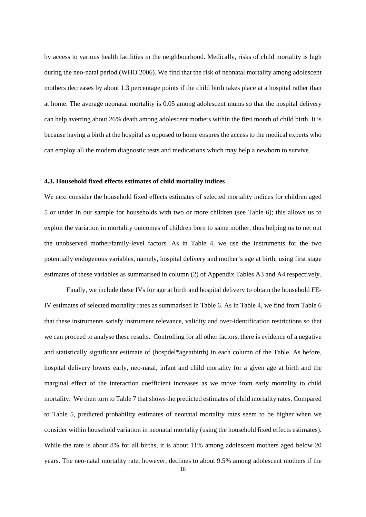by access to various health facilities in the neighbourhood. Medically, risks of child mortality is high during the neo-natal period (WHO 2006). We find that the risk of neonatal mortality among adolescent mothers decreases by about 1.3 percentage points if the child birth takes place at a hospital rather than at home. The average neonatal mortality is 0.05 among adolescent mums so that the hospital delivery can help averting about 26% death among adolescent mothers within the first month of child birth. It is because having a birth at the hospital as opposed to home ensures the access to the medical experts who can employ all the modern diagnostic tests and medications which may help a newborn to survive.

#### **4.3. Household fixed effects estimates of child mortality indices**

We next consider the household fixed effects estimates of selected mortality indices for children aged 5 or under in our sample for households with two or more children (see Table 6); this allows us to exploit the variation in mortality outcomes of children born to same mother, thus helping us to net out the unobserved mother/family-level factors. As in Table 4, we use the instruments for the two potentially endogenous variables, namely, hospital delivery and mother's age at birth, using first stage estimates of these variables as summarised in column (2) of Appendix Tables A3 and A4 respectively.

Finally, we include these IVs for age at birth and hospital delivery to obtain the household FE-IV estimates of selected mortality rates as summarised in Table 6. As in Table 4, we find from Table 6 that these instruments satisfy instrument relevance, validity and over-identification restrictions so that we can proceed to analyse these results. Controlling for all other factors, there is evidence of a negative and statistically significant estimate of (hospdel\*ageatbirth) in each column of the Table. As before, hospital delivery lowers early, neo-natal, infant and child mortality for a given age at birth and the marginal effect of the interaction coefficient increases as we move from early mortality to child mortality. We then turn to Table 7 that shows the predicted estimates of child mortality rates. Compared to Table 5, predicted probability estimates of neonatal mortality rates seem to be higher when we consider within household variation in neonatal mortality (using the household fixed effects estimates). While the rate is about 8% for all births, it is about 11% among adolescent mothers aged below 20 years. The neo-natal mortality rate, however, declines to about 9.5% among adolescent mothers if the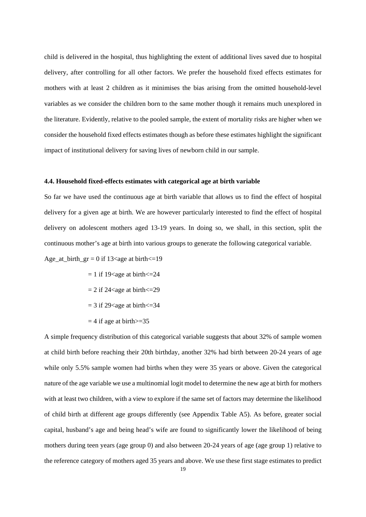child is delivered in the hospital, thus highlighting the extent of additional lives saved due to hospital delivery, after controlling for all other factors. We prefer the household fixed effects estimates for mothers with at least 2 children as it minimises the bias arising from the omitted household-level variables as we consider the children born to the same mother though it remains much unexplored in the literature. Evidently, relative to the pooled sample, the extent of mortality risks are higher when we consider the household fixed effects estimates though as before these estimates highlight the significant impact of institutional delivery for saving lives of newborn child in our sample.

#### **4.4. Household fixed-effects estimates with categorical age at birth variable**

So far we have used the continuous age at birth variable that allows us to find the effect of hospital delivery for a given age at birth. We are however particularly interested to find the effect of hospital delivery on adolescent mothers aged 13-19 years. In doing so, we shall, in this section, split the continuous mother's age at birth into various groups to generate the following categorical variable.

Age\_at\_birth\_gr = 0 if 13<age at birth $\leq$ =19

- $= 1$  if 19<age at birth $\leq 24$
- $= 2$  if 24<age at birth $\leq 29$
- $= 3$  if 29<age at birth $\leq 34$
- $= 4$  if age at birth $>= 35$

A simple frequency distribution of this categorical variable suggests that about 32% of sample women at child birth before reaching their 20th birthday, another 32% had birth between 20-24 years of age while only 5.5% sample women had births when they were 35 years or above. Given the categorical nature of the age variable we use a multinomial logit model to determine the new age at birth for mothers with at least two children, with a view to explore if the same set of factors may determine the likelihood of child birth at different age groups differently (see Appendix Table A5). As before, greater social capital, husband's age and being head's wife are found to significantly lower the likelihood of being mothers during teen years (age group 0) and also between 20-24 years of age (age group 1) relative to the reference category of mothers aged 35 years and above. We use these first stage estimates to predict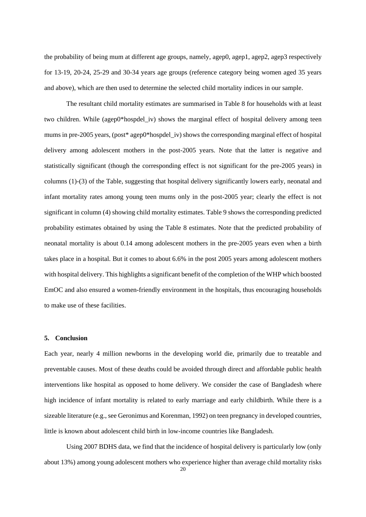the probability of being mum at different age groups, namely, agep0, agep1, agep2, agep3 respectively for 13-19, 20-24, 25-29 and 30-34 years age groups (reference category being women aged 35 years and above), which are then used to determine the selected child mortality indices in our sample.

The resultant child mortality estimates are summarised in Table 8 for households with at least two children. While (agep0\*hospdel\_iv) shows the marginal effect of hospital delivery among teen mums in pre-2005 years, (post\* agep0\*hospdel iv) shows the corresponding marginal effect of hospital delivery among adolescent mothers in the post-2005 years. Note that the latter is negative and statistically significant (though the corresponding effect is not significant for the pre-2005 years) in columns (1)-(3) of the Table, suggesting that hospital delivery significantly lowers early, neonatal and infant mortality rates among young teen mums only in the post-2005 year; clearly the effect is not significant in column (4) showing child mortality estimates. Table 9 shows the corresponding predicted probability estimates obtained by using the Table 8 estimates. Note that the predicted probability of neonatal mortality is about 0.14 among adolescent mothers in the pre-2005 years even when a birth takes place in a hospital. But it comes to about 6.6% in the post 2005 years among adolescent mothers with hospital delivery. This highlights a significant benefit of the completion of the WHP which boosted EmOC and also ensured a women-friendly environment in the hospitals, thus encouraging households to make use of these facilities.

#### **5. Conclusion**

Each year, nearly 4 million newborns in the developing world die, primarily due to treatable and preventable causes. Most of these deaths could be avoided through direct and affordable public health interventions like hospital as opposed to home delivery. We consider the case of Bangladesh where high incidence of infant mortality is related to early marriage and early childbirth. While there is a sizeable literature (e.g., see Geronimus and Korenman, 1992) on teen pregnancy in developed countries, little is known about adolescent child birth in low-income countries like Bangladesh.

Using 2007 BDHS data, we find that the incidence of hospital delivery is particularly low (only about 13%) among young adolescent mothers who experience higher than average child mortality risks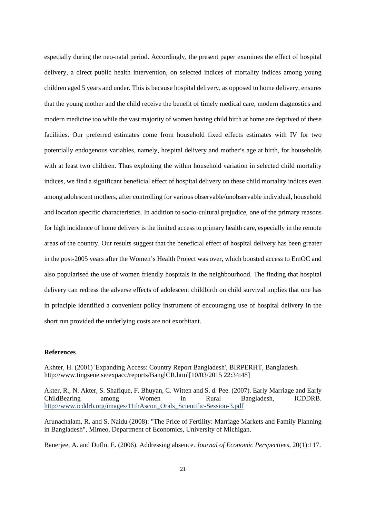especially during the neo-natal period. Accordingly, the present paper examines the effect of hospital delivery, a direct public health intervention, on selected indices of mortality indices among young children aged 5 years and under. This is because hospital delivery, as opposed to home delivery, ensures that the young mother and the child receive the benefit of timely medical care, modern diagnostics and modern medicine too while the vast majority of women having child birth at home are deprived of these facilities. Our preferred estimates come from household fixed effects estimates with IV for two potentially endogenous variables, namely, hospital delivery and mother's age at birth, for households with at least two children. Thus exploiting the within household variation in selected child mortality indices, we find a significant beneficial effect of hospital delivery on these child mortality indices even among adolescent mothers, after controlling for various observable/unobservable individual, household and location specific characteristics. In addition to socio-cultural prejudice, one of the primary reasons for high incidence of home delivery is the limited access to primary health care, especially in the remote areas of the country. Our results suggest that the beneficial effect of hospital delivery has been greater in the post-2005 years after the Women's Health Project was over, which boosted access to EmOC and also popularised the use of women friendly hospitals in the neighbourhood. The finding that hospital delivery can redress the adverse effects of adolescent childbirth on child survival implies that one has in principle identified a convenient policy instrument of encouraging use of hospital delivery in the short run provided the underlying costs are not exorbitant.

#### **References**

Akhter, H. (2001) 'Expanding Access: Country Report Bangladesh', BIRPERHT, Bangladesh. http://www.tingsene.se/expacc/reports/BanglCR.html[10/03/2015 22:34:48]

Akter, R., N. Akter, S. Shafique, F. Bhuyan, C. Witten and S. d. Pee. (2007). Early Marriage and Early ChildBearing among Women in Rural Bangladesh, ICDDRB. http://www.icddrb.org/images/11thAscon\_Orals\_Scientific-Session-3.pdf

Arunachalam, R. and S. Naidu (2008): "The Price of Fertility: Marriage Markets and Family Planning in Bangladesh", Mimeo, Department of Economics, University of Michigan.

Banerjee, A. and Duflo, E. (2006). Addressing absence. *Journal of Economic Perspectives*, 20(1):117.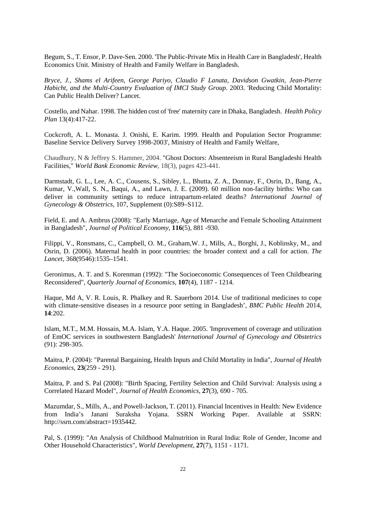Begum, S., T. Ensor, P. Dave-Sen. 2000. 'The Public-Private Mix in Health Care in Bangladesh', Health Economics Unit. Ministry of Health and Family Welfare in Bangladesh.

*Bryce, J., Shams el Arifeen, George Pariyo, Claudio F Lanata, Davidson Gwatkin, Jean-Pierre Habicht, and the Multi-Country Evaluation of IMCI Study Group*. 2003. 'Reducing Child Mortality: Can Public Health Deliver? Lancet.

Costello, and Nahar. 1998. The hidden cost of 'free' maternity care in Dhaka, Bangladesh. *Health Policy Plan* 13(4):417-22.

Cockcroft, A. L. Monasta. J. Onishi, E. Karim. 1999. Health and Population Sector Programme: Baseline Service Delivery Survey 1998-2003', Ministry of Health and Family Welfare,

Chaudhury, N & Jeffrey S. Hammer, 2004. "Ghost Doctors: Absenteeism in Rural Bangladeshi Health Facilities," *World Bank Economic Review*, 18(3), pages 423-441.

Darmstadt, G. L., Lee, A. C., Cousens, S., Sibley, L., Bhutta, Z. A., Donnay, F., Osrin, D., Bang, A., Kumar, V.,Wall, S. N., Baqui, A., and Lawn, J. E. (2009). 60 million non-facility births: Who can deliver in community settings to reduce intrapartum-related deaths? *International Journal of Gynecology & Obstetrics*, 107, Supplement (0):S89–S112.

Field, E. and A. Ambrus (2008): "Early Marriage, Age of Menarche and Female Schooling Attainment in Bangladesh", *Journal of Political Economy*, **116**(5), 881 -930.

Filippi, V., Ronsmans, C., Campbell, O. M., Graham,W. J., Mills, A., Borghi, J., Koblinsky, M., and Osrin, D. (2006). Maternal health in poor countries: the broader context and a call for action. *The Lancet*, 368(9546):1535–1541.

Geronimus, A. T. and S. Korenman (1992): "The Socioeconomic Consequences of Teen Childbearing Reconsidered", *Quarterly Journal of Economics*, **107**(4), 1187 - 1214.

Haque, Md A, V. R. Louis, R. Phalkey and R. Sauerborn 2014. Use of traditional medicines to cope with climate-sensitive diseases in a resource poor setting in Bangladesh', *BMC Public Health* 2014, **14**:202.

Islam, M.T., M.M. Hossain, M.A. Islam, Y.A. Haque. 2005. 'Improvement of coverage and utilization of EmOC services in southwestern Bangladesh' *International Journal of Gynecology and Obstetrics* (91): 298-305.

Maitra, P. (2004): "Parental Bargaining, Health Inputs and Child Mortality in India", *Journal of Health Economics*, **23**(259 - 291).

Maitra, P. and S. Pal (2008): "Birth Spacing, Fertility Selection and Child Survival: Analysis using a Correlated Hazard Model", *Journal of Health Economics*, **27**(3), 690 - 705.

Mazumdar, S., Mills, A., and Powell-Jackson, T. (2011). Financial Incentives in Health: New Evidence from India's Janani Suraksha Yojana. SSRN Working Paper. Available at SSRN: http://ssrn.com/abstract=1935442.

Pal, S. (1999): "An Analysis of Childhood Malnutrition in Rural India: Role of Gender, Income and Other Household Characteristics", *World Development*, **27**(7), 1151 - 1171.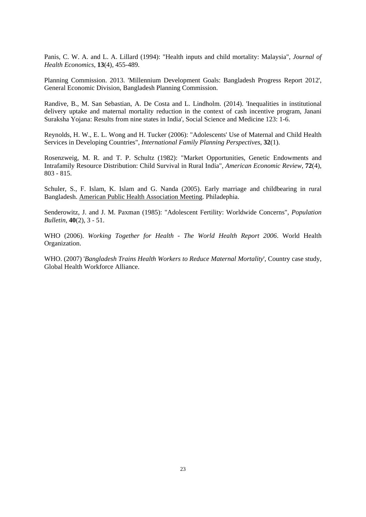Panis, C. W. A. and L. A. Lillard (1994): "Health inputs and child mortality: Malaysia", *Journal of Health Economics*, **13**(4), 455-489.

Planning Commission. 2013. 'Millennium Development Goals: Bangladesh Progress Report 2012', General Economic Division, Bangladesh Planning Commission.

Randive, B., M. San Sebastian, A. De Costa and L. Lindholm. (2014). 'Inequalities in institutional delivery uptake and maternal mortality reduction in the context of cash incentive program, Janani Suraksha Yojana: Results from nine states in India', Social Science and Medicine 123: 1-6.

Reynolds, H. W., E. L. Wong and H. Tucker (2006): "Adolescents' Use of Maternal and Child Health Services in Developing Countries", *International Family Planning Perspectives*, **32**(1).

Rosenzweig, M. R. and T. P. Schultz (1982): "Market Opportunities, Genetic Endowments and Intrafamily Resource Distribution: Child Survival in Rural India", *American Economic Review*, **72**(4), 803 - 815.

Schuler, S., F. Islam, K. Islam and G. Nanda (2005). Early marriage and childbearing in rural Bangladesh. American Public Health Association Meeting. Philadephia.

Senderowitz, J. and J. M. Paxman (1985): "Adolescent Fertility: Worldwide Concerns", *Population Bulletin*, **40**(2), 3 - 51.

WHO (2006). *Working Together for Health - The World Health Report 2006*. World Health Organization.

WHO. (2007) '*Bangladesh Trains Health Workers to Reduce Maternal Mortality*', Country case study, Global Health Workforce Alliance.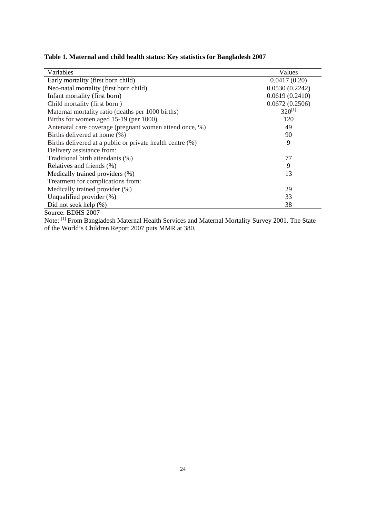|  |  |  | Table 1. Maternal and child health status: Key statistics for Bangladesh 2007 |  |  |  |  |  |  |  |  |  |  |
|--|--|--|-------------------------------------------------------------------------------|--|--|--|--|--|--|--|--|--|--|
|--|--|--|-------------------------------------------------------------------------------|--|--|--|--|--|--|--|--|--|--|

| Variables                                                 | Values         |
|-----------------------------------------------------------|----------------|
| Early mortality (first born child)                        | 0.0417(0.20)   |
| Neo-natal mortality (first born child)                    | 0.0530(0.2242) |
| Infant mortality (first born)                             | 0.0619(0.2410) |
| Child mortality (first born)                              | 0.0672(0.2506) |
| Maternal mortality ratio (deaths per 1000 births)         | $320^{[1]}$    |
| Births for women aged 15-19 (per 1000)                    | 120            |
| Antenatal care coverage (pregnant women attend once, %)   | 49             |
| Births delivered at home (%)                              | 90             |
| Births delivered at a public or private health centre (%) | 9              |
| Delivery assistance from:                                 |                |
| Traditional birth attendants (%)                          | 77             |
| Relatives and friends (%)                                 | 9              |
| Medically trained providers (%)                           | 13             |
| Treatment for complications from:                         |                |
| Medically trained provider (%)                            | 29             |
| Unqualified provider $(\%)$                               | 33             |
| Did not seek help (%)                                     | 38             |
| DDIIC OOOT                                                |                |

Source: BDHS 2007

Note: [1] From Bangladesh Maternal Health Services and Maternal Mortality Survey 2001. The State of the World's Children Report 2007 puts MMR at 380.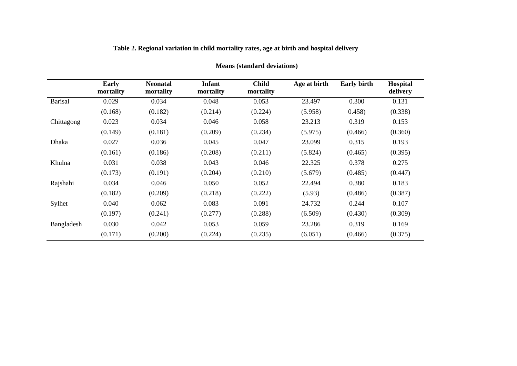|                | <b>Means (standard deviations)</b> |                              |                            |                           |              |                    |                      |
|----------------|------------------------------------|------------------------------|----------------------------|---------------------------|--------------|--------------------|----------------------|
|                | Early<br>mortality                 | <b>Neonatal</b><br>mortality | <b>Infant</b><br>mortality | <b>Child</b><br>mortality | Age at birth | <b>Early birth</b> | Hospital<br>delivery |
| <b>Barisal</b> | 0.029                              | 0.034                        | 0.048                      | 0.053                     | 23.497       | 0.300              | 0.131                |
|                | (0.168)                            | (0.182)                      | (0.214)                    | (0.224)                   | (5.958)      | 0.458              | (0.338)              |
| Chittagong     | 0.023                              | 0.034                        | 0.046                      | 0.058                     | 23.213       | 0.319              | 0.153                |
|                | (0.149)                            | (0.181)                      | (0.209)                    | (0.234)                   | (5.975)      | (0.466)            | (0.360)              |
| <b>Dhaka</b>   | 0.027                              | 0.036                        | 0.045                      | 0.047                     | 23.099       | 0.315              | 0.193                |
|                | (0.161)                            | (0.186)                      | (0.208)                    | (0.211)                   | (5.824)      | (0.465)            | (0.395)              |
| Khulna         | 0.031                              | 0.038                        | 0.043                      | 0.046                     | 22.325       | 0.378              | 0.275                |
|                | (0.173)                            | (0.191)                      | (0.204)                    | (0.210)                   | (5.679)      | (0.485)            | (0.447)              |
| Rajshahi       | 0.034                              | 0.046                        | 0.050                      | 0.052                     | 22.494       | 0.380              | 0.183                |
|                | (0.182)                            | (0.209)                      | (0.218)                    | (0.222)                   | (5.93)       | (0.486)            | (0.387)              |
| Sylhet         | 0.040                              | 0.062                        | 0.083                      | 0.091                     | 24.732       | 0.244              | 0.107                |
|                | (0.197)                            | (0.241)                      | (0.277)                    | (0.288)                   | (6.509)      | (0.430)            | (0.309)              |
| Bangladesh     | 0.030                              | 0.042                        | 0.053                      | 0.059                     | 23.286       | 0.319              | 0.169                |
|                | (0.171)                            | (0.200)                      | (0.224)                    | (0.235)                   | (6.051)      | (0.466)            | (0.375)              |

### **Table 2. Regional variation in child mortality rates, age at birth and hospital delivery**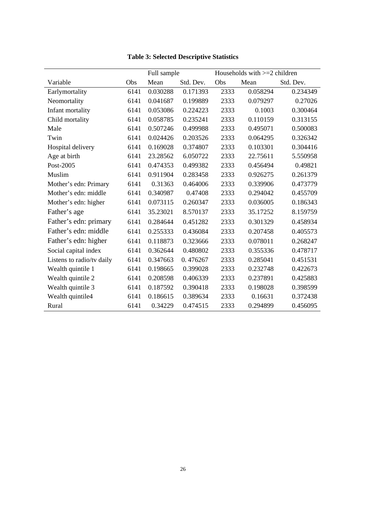|                           |      | Full sample |           |      | Households with $>=2$ children |           |
|---------------------------|------|-------------|-----------|------|--------------------------------|-----------|
| Variable                  | Obs  | Mean        | Std. Dev. | Obs  | Mean                           | Std. Dev. |
| Earlymortality            | 6141 | 0.030288    | 0.171393  | 2333 | 0.058294                       | 0.234349  |
| Neomortality              | 6141 | 0.041687    | 0.199889  | 2333 | 0.079297                       | 0.27026   |
| Infant mortality          | 6141 | 0.053086    | 0.224223  | 2333 | 0.1003                         | 0.300464  |
| Child mortality           | 6141 | 0.058785    | 0.235241  | 2333 | 0.110159                       | 0.313155  |
| Male                      | 6141 | 0.507246    | 0.499988  | 2333 | 0.495071                       | 0.500083  |
| Twin                      | 6141 | 0.024426    | 0.203526  | 2333 | 0.064295                       | 0.326342  |
| Hospital delivery         | 6141 | 0.169028    | 0.374807  | 2333 | 0.103301                       | 0.304416  |
| Age at birth              | 6141 | 23.28562    | 6.050722  | 2333 | 22.75611                       | 5.550958  |
| Post-2005                 | 6141 | 0.474353    | 0.499382  | 2333 | 0.456494                       | 0.49821   |
| Muslim                    | 6141 | 0.911904    | 0.283458  | 2333 | 0.926275                       | 0.261379  |
| Mother's edn: Primary     | 6141 | 0.31363     | 0.464006  | 2333 | 0.339906                       | 0.473779  |
| Mother's edn: middle      | 6141 | 0.340987    | 0.47408   | 2333 | 0.294042                       | 0.455709  |
| Mother's edn: higher      | 6141 | 0.073115    | 0.260347  | 2333 | 0.036005                       | 0.186343  |
| Father's age              | 6141 | 35.23021    | 8.570137  | 2333 | 35.17252                       | 8.159759  |
| Father's edn: primary     | 6141 | 0.284644    | 0.451282  | 2333 | 0.301329                       | 0.458934  |
| Father's edn: middle      | 6141 | 0.255333    | 0.436084  | 2333 | 0.207458                       | 0.405573  |
| Father's edn: higher      | 6141 | 0.118873    | 0.323666  | 2333 | 0.078011                       | 0.268247  |
| Social capital index      | 6141 | 0.362644    | 0.480802  | 2333 | 0.355336                       | 0.478717  |
| Listens to radio/tv daily | 6141 | 0.347663    | 0.476267  | 2333 | 0.285041                       | 0.451531  |
| Wealth quintile 1         | 6141 | 0.198665    | 0.399028  | 2333 | 0.232748                       | 0.422673  |
| Wealth quintile 2         | 6141 | 0.208598    | 0.406339  | 2333 | 0.237891                       | 0.425883  |
| Wealth quintile 3         | 6141 | 0.187592    | 0.390418  | 2333 | 0.198028                       | 0.398599  |
| Wealth quintile4          | 6141 | 0.186615    | 0.389634  | 2333 | 0.16631                        | 0.372438  |
| Rural                     | 6141 | 0.34229     | 0.474515  | 2333 | 0.294899                       | 0.456095  |

**Table 3: Selected Descriptive Statistics**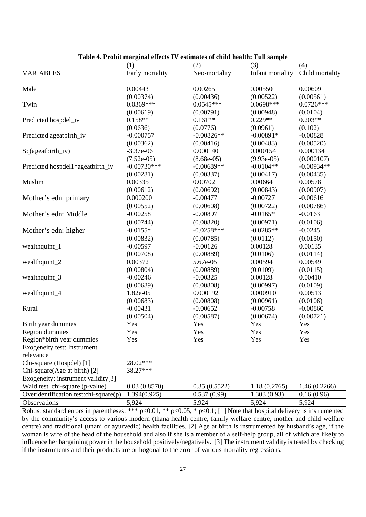|                                       | (1)             | (2)           | (3)              | (4)             |
|---------------------------------------|-----------------|---------------|------------------|-----------------|
| <b>VARIABLES</b>                      | Early mortality | Neo-mortality | Infant mortality | Child mortality |
|                                       |                 |               |                  |                 |
| Male                                  | 0.00443         | 0.00265       | 0.00550          | 0.00609         |
|                                       | (0.00374)       | (0.00436)     | (0.00522)        | (0.00561)       |
| Twin                                  | $0.0369***$     | $0.0545***$   | $0.0698***$      | $0.0726***$     |
|                                       | (0.00619)       | (0.00791)     | (0.00948)        | (0.0104)        |
| Predicted hospdel_iv                  | $0.158**$       | $0.161**$     | $0.229**$        | $0.203**$       |
|                                       | (0.0636)        | (0.0776)      | (0.0961)         | (0.102)         |
| Predicted ageatbirth_iv               | $-0.000757$     | $-0.00826**$  | $-0.00891*$      | $-0.00828$      |
|                                       | (0.00362)       | (0.00416)     | (0.00483)        | (0.00520)       |
| Sq(ageatbirth_iv)                     | $-3.37e-06$     | 0.000140      | 0.000154         | 0.000134        |
|                                       | $(7.52e-05)$    | $(8.68e-05)$  | $(9.93e-05)$     | (0.000107)      |
| Predicted hospdel1*ageatbirth_iv      | $-0.00730***$   | $-0.00689**$  | $-0.0104**$      | $-0.00934**$    |
|                                       | (0.00281)       | (0.00337)     | (0.00417)        | (0.00435)       |
| Muslim                                | 0.00335         | 0.00702       | 0.00664          | 0.00578         |
|                                       | (0.00612)       | (0.00692)     | (0.00843)        | (0.00907)       |
| Mother's edn: primary                 | 0.000200        | $-0.00477$    | $-0.00727$       | $-0.00616$      |
|                                       | (0.00552)       | (0.00608)     | (0.00722)        | (0.00786)       |
| Mother's edn: Middle                  | $-0.00258$      | $-0.00897$    | $-0.0165*$       | $-0.0163$       |
|                                       | (0.00744)       | (0.00820)     | (0.00971)        | (0.0106)        |
| Mother's edn: higher                  | $-0.0155*$      | $-0.0258***$  | $-0.0285**$      | $-0.0245$       |
|                                       | (0.00832)       | (0.00785)     | (0.0112)         | (0.0150)        |
| wealthquint_1                         | $-0.00597$      | $-0.00126$    | 0.00128          | 0.00135         |
|                                       | (0.00708)       | (0.00889)     | (0.0106)         | (0.0114)        |
| wealthquint_2                         | 0.00372         | 5.67e-05      | 0.00594          | 0.00549         |
|                                       | (0.00804)       | (0.00889)     | (0.0109)         | (0.0115)        |
| wealthquint_3                         | $-0.00246$      | $-0.00325$    | 0.00128          | 0.00410         |
|                                       | (0.00689)       | (0.00808)     | (0.00997)        | (0.0109)        |
| wealthquint_4                         | 1.82e-05        | 0.000192      | 0.000910         | 0.00513         |
|                                       | (0.00683)       | (0.00808)     | (0.00961)        | (0.0106)        |
| Rural                                 | $-0.00431$      | $-0.00652$    | $-0.00758$       | $-0.00860$      |
|                                       | (0.00504)       | (0.00587)     | (0.00674)        | (0.00721)       |
| Birth year dummies                    | Yes             | Yes           | Yes              | Yes             |
| Region dummies                        | Yes             | Yes           | Yes              | Yes             |
| Region*birth year dummies             | Yes             | Yes           | Yes              | Yes             |
| <b>Exogeneity test: Instrument</b>    |                 |               |                  |                 |
| relevance                             |                 |               |                  |                 |
| Chi-square (Hospdel) [1]              | 28.02***        |               |                  |                 |
| Chi-square(Age at birth) [2]          | 38.27***        |               |                  |                 |
| Exogeneity: instrument validity[3]    |                 |               |                  |                 |
| Wald test chi-square (p-value)        | 0.03(0.8570)    | 0.35(0.5522)  | 1.18(0.2765)     | 1.46(0.2266)    |
| Overidentification test:chi-square(p) | 1.394(0.925)    | 0.537(0.99)   | 1.303(0.93)      | 0.16(0.96)      |
| Observations                          | 5,924           | 5,924         | 5,924            | 5,924           |

**Table 4. Probit marginal effects IV estimates of child health: Full sample** 

Robust standard errors in parentheses; \*\*\*  $p<0.01$ , \*\*  $p<0.05$ , \*  $p<0.1$ ; [1] Note that hospital delivery is instrumented by the community's access to various modern (thana health centre, family welfare centre, mother and child welfare centre) and traditional (unani or ayurvedic) health facilities. [2] Age at birth is instrumented by husband's age, if the woman is wife of the head of the household and also if she is a member of a self-help group, all of which are likely to influence her bargaining power in the household positively/negatively. [3] The instrument validity is tested by checking if the instruments and their products are orthogonal to the error of various mortality regressions.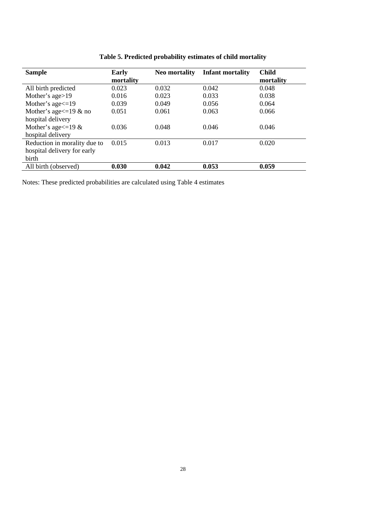| <b>Sample</b>                | <b>Early</b> | <b>Neo mortality</b> | <b>Infant mortality</b> | <b>Child</b> |
|------------------------------|--------------|----------------------|-------------------------|--------------|
|                              | mortality    |                      |                         | mortality    |
| All birth predicted          | 0.023        | 0.032                | 0.042                   | 0.048        |
| Mother's age>19              | 0.016        | 0.023                | 0.033                   | 0.038        |
| Mother's age $\leq$ =19      | 0.039        | 0.049                | 0.056                   | 0.064        |
| Mother's age $\leq$ =19 & no | 0.051        | 0.061                | 0.063                   | 0.066        |
| hospital delivery            |              |                      |                         |              |
| Mother's age $\leq$ =19 &    | 0.036        | 0.048                | 0.046                   | 0.046        |
| hospital delivery            |              |                      |                         |              |
| Reduction in morality due to | 0.015        | 0.013                | 0.017                   | 0.020        |
| hospital delivery for early  |              |                      |                         |              |
| birth                        |              |                      |                         |              |
| All birth (observed)         | 0.030        | 0.042                | 0.053                   | 0.059        |

|  | Table 5. Predicted probability estimates of child mortality |  |  |
|--|-------------------------------------------------------------|--|--|
|  |                                                             |  |  |

Notes: These predicted probabilities are calculated using Table 4 estimates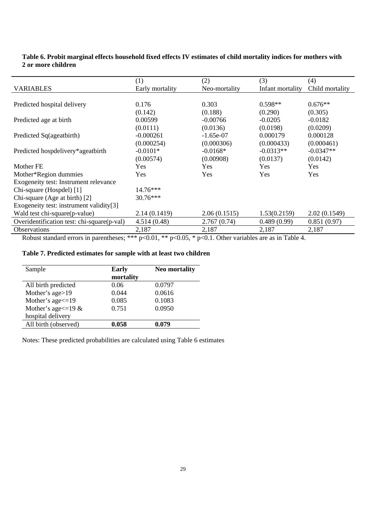#### **Table 6. Probit marginal effects household fixed effects IV estimates of child mortality indices for mothers with 2 or more children**

|                                            | (1)             | (2)           | (3)              | (4)             |
|--------------------------------------------|-----------------|---------------|------------------|-----------------|
| <b>VARIABLES</b>                           | Early mortality | Neo-mortality | Infant mortality | Child mortality |
|                                            |                 |               |                  |                 |
| Predicted hospital delivery                | 0.176           | 0.303         | $0.598**$        | $0.676**$       |
|                                            | (0.142)         | (0.188)       | (0.290)          | (0.305)         |
| Predicted age at birth                     | 0.00599         | $-0.00766$    | $-0.0205$        | $-0.0182$       |
|                                            | (0.0111)        | (0.0136)      | (0.0198)         | (0.0209)        |
| Predicted Sq(ageatbirth)                   | $-0.000261$     | $-1.65e-07$   | 0.000179         | 0.000128        |
|                                            | (0.000254)      | (0.000306)    | (0.000433)       | (0.000461)      |
| Predicted hospdelivery*ageatbirth          | $-0.0101*$      | $-0.0168*$    | $-0.0313**$      | $-0.0347**$     |
|                                            | (0.00574)       | (0.00908)     | (0.0137)         | (0.0142)        |
| Mother FE                                  | Yes             | <b>Yes</b>    | Yes              | Yes             |
| Mother*Region dummies                      | Yes             | Yes           | Yes              | Yes             |
| Exogeneity test: Instrument relevance      |                 |               |                  |                 |
| Chi-square (Hospdel) [1]                   | 14.76***        |               |                  |                 |
| Chi-square (Age at birth) [2]              | 30.76***        |               |                  |                 |
| Exogeneity test: instrument validity[3]    |                 |               |                  |                 |
| Wald test chi-square(p-value)              | 2.14 (0.1419)   | 2.06(0.1515)  | 1.53(0.2159)     | 2.02(0.1549)    |
| Overidentification test: chi-square(p-val) | 4.514(0.48)     | 2.767(0.74)   | 0.489(0.99)      | 0.851(0.97)     |
| Observations                               | 2,187           | 2,187         | 2,187            | 2,187           |

Robust standard errors in parentheses; \*\*\* p<0.01, \*\* p<0.05, \* p<0.1. Other variables are as in Table 4.

#### **Table 7. Predicted estimates for sample with at least two children**

| Sample                    | <b>Early</b><br>mortality | <b>Neo mortality</b> |
|---------------------------|---------------------------|----------------------|
| All birth predicted       | 0.06                      | 0.0797               |
| Mother's age>19           | 0.044                     | 0.0616               |
| Mother's age <= 19        | 0.085                     | 0.1083               |
| Mother's age $\leq$ =19 & | 0.751                     | 0.0950               |
| hospital delivery         |                           |                      |
| All birth (observed)      | 0.058                     | 0.079                |

Notes: These predicted probabilities are calculated using Table 6 estimates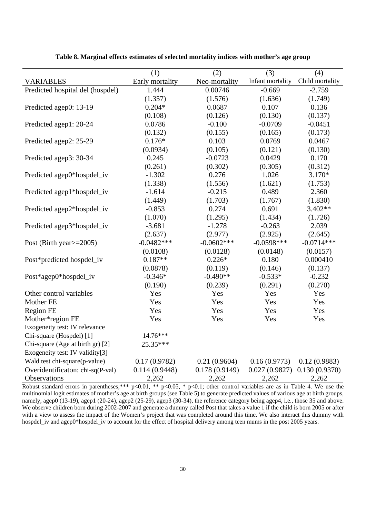|                                  | (1)             | (2)           | (3)              | (4)             |
|----------------------------------|-----------------|---------------|------------------|-----------------|
| <b>VARIABLES</b>                 | Early mortality | Neo-mortality | Infant mortality | Child mortality |
| Predicted hospital del (hospdel) | 1.444           | 0.00746       | $-0.669$         | $-2.759$        |
|                                  | (1.357)         | (1.576)       | (1.636)          | (1.749)         |
| Predicted agep0: 13-19           | $0.204*$        | 0.0687        | 0.107            | 0.136           |
|                                  | (0.108)         | (0.126)       | (0.130)          | (0.137)         |
| Predicted agep1: 20-24           | 0.0786          | $-0.100$      | $-0.0709$        | $-0.0451$       |
|                                  | (0.132)         | (0.155)       | (0.165)          | (0.173)         |
| Predicted agep2: 25-29           | $0.176*$        | 0.103         | 0.0769           | 0.0467          |
|                                  | (0.0934)        | (0.105)       | (0.121)          | (0.130)         |
| Predicted agep3: 30-34           | 0.245           | $-0.0723$     | 0.0429           | 0.170           |
|                                  | (0.261)         | (0.302)       | (0.305)          | (0.312)         |
| Predicted agep0*hospdel_iv       | $-1.302$        | 0.276         | 1.026            | $3.170*$        |
|                                  | (1.338)         | (1.556)       | (1.621)          | (1.753)         |
| Predicted agep1*hospdel_iv       | $-1.614$        | $-0.215$      | 0.489            | 2.360           |
|                                  | (1.449)         | (1.703)       | (1.767)          | (1.830)         |
| Predicted agep2*hospdel_iv       | $-0.853$        | 0.274         | 0.691            | 3.402**         |
|                                  | (1.070)         | (1.295)       | (1.434)          | (1.726)         |
| Predicted agep3*hospdel_iv       | $-3.681$        | $-1.278$      | $-0.263$         | 2.039           |
|                                  | (2.637)         | (2.977)       | (2.925)          | (2.645)         |
| Post (Birth year $\ge$ =2005)    | $-0.0482***$    | $-0.0602***$  | $-0.0598***$     | $-0.0714***$    |
|                                  | (0.0108)        | (0.0128)      | (0.0148)         | (0.0157)        |
| Post*predicted hospdel_iv        | $0.187**$       | $0.226*$      | 0.180            | 0.000410        |
|                                  | (0.0878)        | (0.119)       | (0.146)          | (0.137)         |
| Post*agep0*hospdel_iv            | $-0.346*$       | $-0.490**$    | $-0.533*$        | $-0.232$        |
|                                  | (0.190)         | (0.239)       | (0.291)          | (0.270)         |
| Other control variables          | Yes             | Yes           | Yes              | Yes             |
| Mother FE                        | Yes             | Yes           | Yes              | Yes             |
| <b>Region FE</b>                 | Yes             | Yes           | Yes              | Yes             |
| Mother*region FE                 | Yes             | Yes           | Yes              | Yes             |
| Exogeneity test: IV relevance    |                 |               |                  |                 |
| Chi-square (Hospdel) [1]         | 14.76***        |               |                  |                 |
| Chi-square (Age at birth gr) [2] | 25.35***        |               |                  |                 |
| Exogeneity test: IV validity[3]  |                 |               |                  |                 |
| Wald test chi-square(p-value)    | 0.17(0.9782)    | 0.21(0.9604)  | 0.16(0.9773)     | 0.12(0.9883)    |
| Overidentificaton: chi-sq(P-val) | 0.114(0.9448)   | 0.178(0.9149) | 0.027(0.9827)    | 0.130(0.9370)   |
| Observations                     | 2,262           | 2,262         | 2,262            | 2,262           |

**Table 8. Marginal effects estimates of selected mortality indices with mother's age group** 

Robust standard errors in parentheses;\*\*\* p<0.01, \*\* p<0.05, \* p<0.1; other control variables are as in Table 4. We use the multinomial logit estimates of mother's age at birth groups (see Table 5) to generate predicted values of various age at birth groups, namely, agep0 (13-19), agep1 (20-24), agep2 (25-29), agep3 (30-34), the reference category being agep4, i.e., those 35 and above. We observe children born during 2002-2007 and generate a dummy called Post that takes a value 1 if the child is born 2005 or after with a view to assess the impact of the Women's project that was completed around this time. We also interact this dummy with hospdel\_iv and agep0\*hospdel\_iv to account for the effect of hospital delivery among teen mums in the post 2005 years.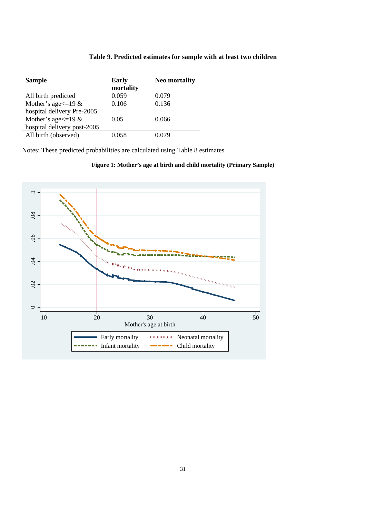#### **Table 9. Predicted estimates for sample with at least two children**

| <b>Sample</b>               | <b>Early</b> | <b>Neo mortality</b> |
|-----------------------------|--------------|----------------------|
|                             | mortality    |                      |
| All birth predicted         | 0.059        | 0.079                |
| Mother's age $\leq$ =19 &   | 0.106        | 0.136                |
| hospital delivery Pre-2005  |              |                      |
| Mother's age $\leq$ =19 &   | 0.05         | 0.066                |
| hospital delivery post-2005 |              |                      |
| All birth (observed)        | 0 058        | 0 079                |

Notes: These predicted probabilities are calculated using Table 8 estimates

#### **Figure 1: Mother's age at birth and child mortality (Primary Sample)**

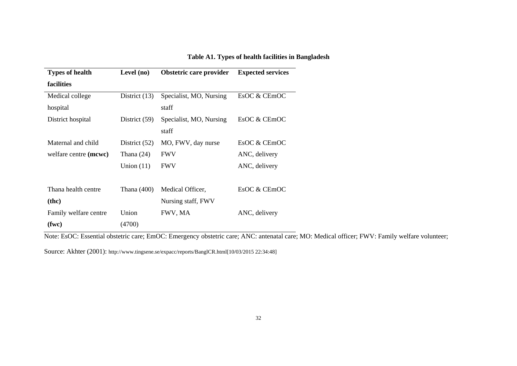| <b>Types of health</b> | Level (no)      | Obstetric care provider | <b>Expected services</b> |  |
|------------------------|-----------------|-------------------------|--------------------------|--|
| facilities             |                 |                         |                          |  |
| Medical college        | District $(13)$ | Specialist, MO, Nursing | EsOC & CEmOC             |  |
| hospital               |                 | staff                   |                          |  |
| District hospital      | District (59)   | Specialist, MO, Nursing | EsOC & CEmOC             |  |
|                        |                 | staff                   |                          |  |
| Maternal and child     | District $(52)$ | MO, FWV, day nurse      | EsOC & CEmOC             |  |
| welfare centre (mcwc)  | Thana $(24)$    | <b>FWV</b>              | ANC, delivery            |  |
|                        | Union $(11)$    | <b>FWV</b>              | ANC, delivery            |  |
|                        |                 |                         |                          |  |
| Thana health centre    | Thana (400)     | Medical Officer,        | EsOC & CEmOC             |  |
| ( <b>the</b> )         |                 | Nursing staff, FWV      |                          |  |
| Family welfare centre  | Union           | FWV, MA                 | ANC, delivery            |  |
| (fwc)                  | (4700)          |                         |                          |  |

**Table A1. Types of health facilities in Bangladesh** 

Note: EsOC: Essential obstetric care; EmOC: Emergency obstetric care; ANC: antenatal care; MO: Medical officer; FWV: Family welfare volunteer;

Source: Akhter (2001): http://www.tingsene.se/expacc/reports/BanglCR.html[10/03/2015 22:34:48]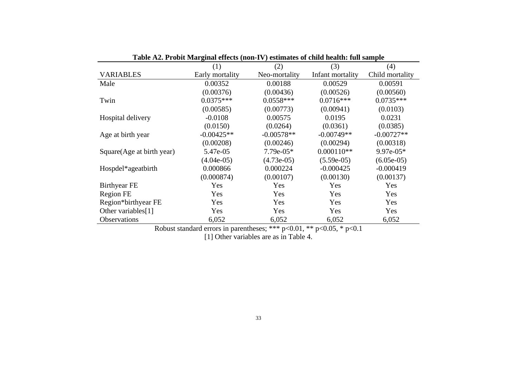| $\frac{1}{2}$ . The state function $\frac{1}{2}$ (101 $\frac{1}{2}$ ) community of this headed that $\frac{1}{2}$ |                 |               |                  |                 |  |
|-------------------------------------------------------------------------------------------------------------------|-----------------|---------------|------------------|-----------------|--|
|                                                                                                                   | (1)             | (2)           | (3)              | (4)             |  |
| <b>VARIABLES</b>                                                                                                  | Early mortality | Neo-mortality | Infant mortality | Child mortality |  |
| Male                                                                                                              | 0.00352         | 0.00188       | 0.00529          | 0.00591         |  |
|                                                                                                                   | (0.00376)       | (0.00436)     | (0.00526)        | (0.00560)       |  |
| Twin                                                                                                              | $0.0375***$     | $0.0558***$   | $0.0716***$      | $0.0735***$     |  |
|                                                                                                                   | (0.00585)       | (0.00773)     | (0.00941)        | (0.0103)        |  |
| Hospital delivery                                                                                                 | $-0.0108$       | 0.00575       | 0.0195           | 0.0231          |  |
|                                                                                                                   | (0.0150)        | (0.0264)      | (0.0361)         | (0.0385)        |  |
| Age at birth year                                                                                                 | $-0.00425**$    | $-0.00578**$  | $-0.00749**$     | $-0.00727**$    |  |
|                                                                                                                   | (0.00208)       | (0.00246)     | (0.00294)        | (0.00318)       |  |
| Square (Age at birth year)                                                                                        | 5.47e-05        | 7.79e-05*     | $0.000110**$     | $9.97e-05*$     |  |
|                                                                                                                   | $(4.04e-05)$    | $(4.73e-05)$  | $(5.59e-05)$     | $(6.05e-05)$    |  |
| Hospdel*ageatbirth                                                                                                | 0.000866        | 0.000224      | $-0.000425$      | $-0.000419$     |  |
|                                                                                                                   | (0.000874)      | (0.00107)     | (0.00130)        | (0.00137)       |  |
| <b>Birthyear FE</b>                                                                                               | Yes             | Yes           | Yes              | Yes             |  |
| Region FE                                                                                                         | Yes             | Yes           | Yes              | Yes             |  |
| Region*birthyear FE                                                                                               | Yes             | Yes           | Yes              | Yes             |  |
| Other variables[1]                                                                                                | Yes             | Yes           | Yes              | Yes             |  |
| Observations                                                                                                      | 6,052           | 6,052         | 6,052            | 6,052           |  |

**Table A2. Probit Marginal effects (non-IV) estimates of child health: full sample** 

Robust standard errors in parentheses; \*\*\*  $p<0.01$ , \*\*  $p<0.05$ , \*  $p<0.1$ [1] Other variables are as in Table 4.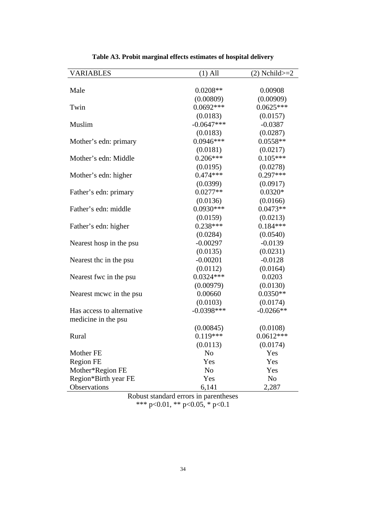| <b>VARIABLES</b>                     | $(1)$ All                  | $(2)$ Nchild $>=2$      |
|--------------------------------------|----------------------------|-------------------------|
|                                      |                            |                         |
| Male                                 | $0.0208**$                 | 0.00908                 |
|                                      | (0.00809)                  | (0.00909)               |
| Twin                                 | $0.0692***$                | $0.0625***$             |
|                                      | (0.0183)                   | (0.0157)                |
| Muslim                               | $-0.0647***$               | $-0.0387$               |
|                                      | (0.0183)                   | (0.0287)                |
| Mother's edn: primary                | $0.0946***$                | $0.0558**$              |
|                                      | (0.0181)                   | (0.0217)                |
| Mother's edn: Middle                 | $0.206***$                 | $0.105***$              |
|                                      | (0.0195)                   | (0.0278)                |
| Mother's edn: higher                 | $0.474***$                 | $0.297***$              |
|                                      | (0.0399)                   | (0.0917)                |
| Father's edn: primary                | $0.0277**$                 | $0.0320*$               |
|                                      | (0.0136)                   | (0.0166)                |
| Father's edn: middle                 | $0.0930***$                | $0.0473**$              |
|                                      | (0.0159)                   | (0.0213)                |
| Father's edn: higher                 | $0.238***$                 | $0.184***$              |
|                                      | (0.0284)                   | (0.0540)                |
| Nearest hosp in the psu              | $-0.00297$                 | $-0.0139$               |
|                                      | (0.0135)                   | (0.0231)                |
| Nearest the in the psu               | $-0.00201$                 | $-0.0128$               |
|                                      | (0.0112)                   | (0.0164)                |
| Nearest fwc in the psu               | $0.0324***$                | 0.0203                  |
|                                      | (0.00979)                  | (0.0130)                |
| Nearest mowe in the psu              | 0.00660                    | $0.0350**$              |
|                                      | (0.0103)                   | (0.0174)                |
| Has access to alternative            | $-0.0398***$               | $-0.0266**$             |
| medicine in the psu                  |                            |                         |
|                                      | (0.00845)<br>$0.119***$    | (0.0108)<br>$0.0612***$ |
| Rural                                |                            |                         |
| Mother FE                            | (0.0113)<br>N <sub>o</sub> | (0.0174)<br>Yes         |
|                                      | Yes                        | Yes                     |
| <b>Region FE</b><br>Mother*Region FE | N <sub>o</sub>             | Yes                     |
| Region*Birth year FE                 | Yes                        | N <sub>0</sub>          |
| Observations                         | 6,141                      | 2,287                   |
|                                      |                            |                         |

**Table A3. Probit marginal effects estimates of hospital delivery** 

Robust standard errors in parentheses \*\*\* p<0.01, \*\* p<0.05, \* p<0.1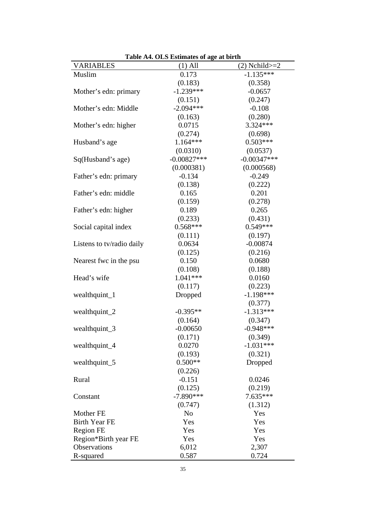| <b>Table A4. OLS Estimates of age at birth</b><br><b>VARIABLES</b><br>$(2)$ Nchild $>=2$ |                           |                       |  |  |  |  |  |
|------------------------------------------------------------------------------------------|---------------------------|-----------------------|--|--|--|--|--|
| Muslim                                                                                   | $(1)$ All<br>0.173        | $-1.135***$           |  |  |  |  |  |
|                                                                                          | (0.183)                   | (0.358)               |  |  |  |  |  |
|                                                                                          | $-1.239***$               |                       |  |  |  |  |  |
| Mother's edn: primary                                                                    |                           | $-0.0657$             |  |  |  |  |  |
|                                                                                          | (0.151)<br>$-2.094***$    | (0.247)               |  |  |  |  |  |
| Mother's edn: Middle                                                                     |                           | $-0.108$              |  |  |  |  |  |
|                                                                                          | (0.163)                   | (0.280)<br>$3.324***$ |  |  |  |  |  |
| Mother's edn: higher                                                                     | 0.0715                    |                       |  |  |  |  |  |
|                                                                                          | (0.274)                   | (0.698)<br>$0.503***$ |  |  |  |  |  |
| Husband's age                                                                            | $1.164***$                |                       |  |  |  |  |  |
|                                                                                          | (0.0310)<br>$-0.00827***$ | (0.0537)              |  |  |  |  |  |
| Sq(Husband's age)                                                                        |                           | $-0.00347***$         |  |  |  |  |  |
|                                                                                          | (0.000381)                | (0.000568)            |  |  |  |  |  |
| Father's edn: primary                                                                    | $-0.134$                  | $-0.249$              |  |  |  |  |  |
|                                                                                          | (0.138)                   | (0.222)               |  |  |  |  |  |
| Father's edn: middle                                                                     | 0.165                     | 0.201                 |  |  |  |  |  |
|                                                                                          | (0.159)                   | (0.278)               |  |  |  |  |  |
| Father's edn: higher                                                                     | 0.189                     | 0.265                 |  |  |  |  |  |
|                                                                                          | (0.233)                   | (0.431)               |  |  |  |  |  |
| Social capital index                                                                     | $0.568***$                | $0.549***$            |  |  |  |  |  |
|                                                                                          | (0.111)                   | (0.197)               |  |  |  |  |  |
| Listens to tv/radio daily                                                                | 0.0634                    | $-0.00874$            |  |  |  |  |  |
|                                                                                          | (0.125)                   | (0.216)               |  |  |  |  |  |
| Nearest fwc in the psu                                                                   | 0.150                     | 0.0680                |  |  |  |  |  |
|                                                                                          | (0.108)                   | (0.188)               |  |  |  |  |  |
| Head's wife                                                                              | 1.041***                  | 0.0160                |  |  |  |  |  |
|                                                                                          | (0.117)                   | (0.223)               |  |  |  |  |  |
| wealthquint_1                                                                            | Dropped                   | $-1.198***$           |  |  |  |  |  |
|                                                                                          |                           | (0.377)               |  |  |  |  |  |
| wealthquint_2                                                                            | $-0.395**$                | $-1.313***$           |  |  |  |  |  |
|                                                                                          | (0.164)                   | (0.347)               |  |  |  |  |  |
| wealthquint_3                                                                            | $-0.00650$                | $-0.948***$           |  |  |  |  |  |
|                                                                                          | (0.171)                   | (0.349)               |  |  |  |  |  |
| wealthquint_4                                                                            | 0.0270                    | $-1.031***$           |  |  |  |  |  |
|                                                                                          | (0.193)                   | (0.321)               |  |  |  |  |  |
| wealthquint_5                                                                            | $0.500**$                 | Dropped               |  |  |  |  |  |
|                                                                                          | (0.226)                   |                       |  |  |  |  |  |
| Rural                                                                                    | $-0.151$                  | 0.0246                |  |  |  |  |  |
|                                                                                          | (0.125)                   | (0.219)               |  |  |  |  |  |
| Constant                                                                                 | $-7.890***$               | 7.635***              |  |  |  |  |  |
|                                                                                          | (0.747)                   | (1.312)               |  |  |  |  |  |
| Mother FE                                                                                | N <sub>o</sub>            | Yes                   |  |  |  |  |  |
| <b>Birth Year FE</b>                                                                     | Yes                       | Yes                   |  |  |  |  |  |
| <b>Region FE</b>                                                                         | Yes                       | Yes                   |  |  |  |  |  |
| Region*Birth year FE                                                                     | Yes                       | Yes                   |  |  |  |  |  |
| Observations                                                                             | 6,012                     | 2,307                 |  |  |  |  |  |
| R-squared                                                                                | 0.587                     | 0.724                 |  |  |  |  |  |

**Table A4. OLS Estimates of age at birth**